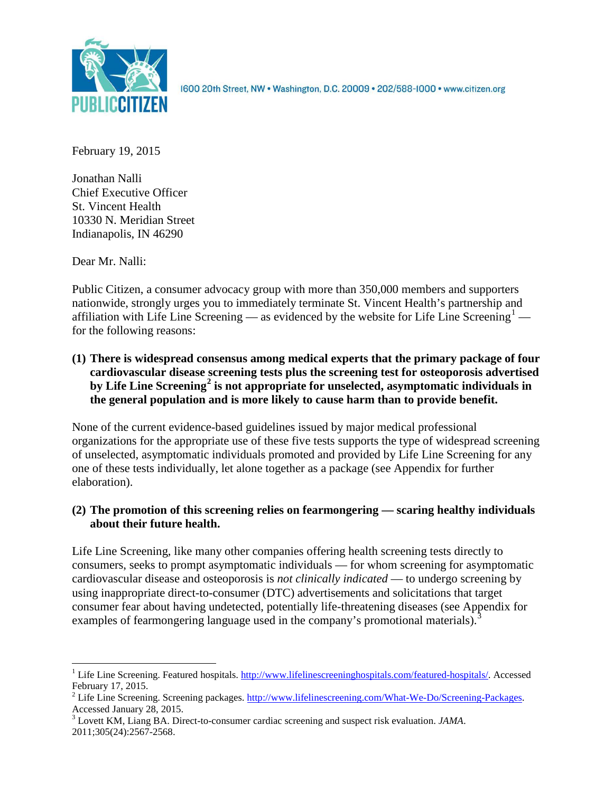

1600 20th Street, NW . Washington, D.C. 20009 . 202/588-1000 . www.citizen.org

February 19, 2015

Jonathan Nalli Chief Executive Officer St. Vincent Health 10330 N. Meridian Street Indianapolis, IN 46290

Dear Mr. Nalli:

Public Citizen, a consumer advocacy group with more than 350,000 members and supporters nationwide, strongly urges you to immediately terminate St. Vincent Health's partnership and affiliation with Life Line Screening — as evidenced by the website for Life Line Screening<sup>[1](#page-0-0)</sup> – for the following reasons:

**(1) There is widespread consensus among medical experts that the primary package of four cardiovascular disease screening tests plus the screening test for osteoporosis advertised by Life Line Screening[2](#page-0-1) is not appropriate for unselected, asymptomatic individuals in the general population and is more likely to cause harm than to provide benefit.**

None of the current evidence-based guidelines issued by major medical professional organizations for the appropriate use of these five tests supports the type of widespread screening of unselected, asymptomatic individuals promoted and provided by Life Line Screening for any one of these tests individually, let alone together as a package (see Appendix for further elaboration).

# **(2) The promotion of this screening relies on fearmongering — scaring healthy individuals about their future health.**

Life Line Screening, like many other companies offering health screening tests directly to consumers, seeks to prompt asymptomatic individuals — for whom screening for asymptomatic cardiovascular disease and osteoporosis is *not clinically indicated* — to undergo screening by using inappropriate direct-to-consumer (DTC) advertisements and solicitations that target consumer fear about having undetected, potentially life-threatening diseases (see Appendix for examples of fearmongering language used in the company's promotional materials).<sup>[3](#page-0-2)</sup>

<span id="page-0-0"></span><sup>&</sup>lt;sup>1</sup> Life Line Screening. Featured hospitals. [http://www.lifelinescreeninghospitals.com/featured-hospitals/.](http://www.lifelinescreeninghospitals.com/featured-hospitals/) Accessed

<span id="page-0-1"></span>February 17, 2015.<br><sup>2</sup> Life Line Screening. Screening packages. [http://www.lifelinescreening.com/What-We-Do/Screening-Packages.](http://www.lifelinescreening.com/What-We-Do/Screening-Packages)<br>Accessed January 28, 2015.

<span id="page-0-2"></span><sup>&</sup>lt;sup>3</sup> Lovett KM, Liang BA. Direct-to-consumer cardiac screening and suspect risk evaluation. *JAMA*. 2011;305(24):2567-2568.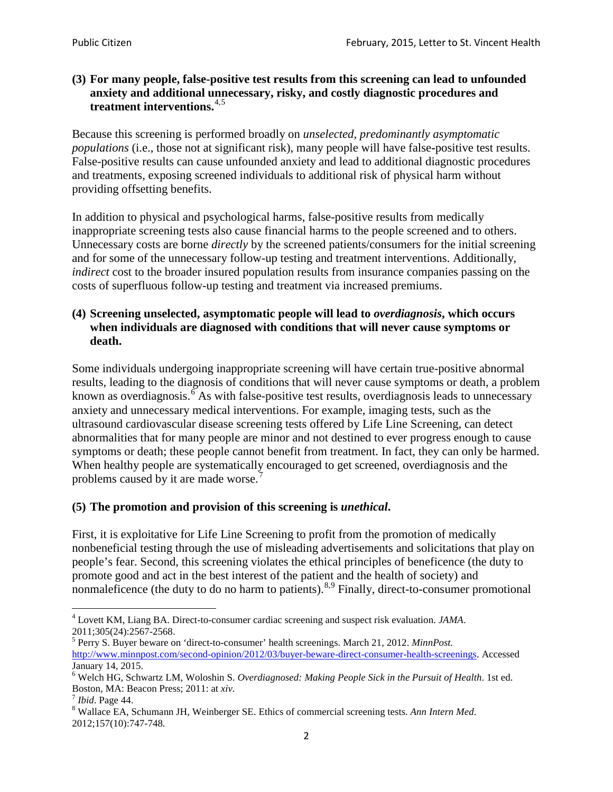### **(3) For many people, false-positive test results from this screening can lead to unfounded anxiety and additional unnecessary, risky, and costly diagnostic procedures and treatment interventions.**[4](#page-1-0),[5](#page-1-1)

Because this screening is performed broadly on *unselected, predominantly asymptomatic populations* (i.e., those not at significant risk), many people will have false**-**positive test results. False-positive results can cause unfounded anxiety and lead to additional diagnostic procedures and treatments, exposing screened individuals to additional risk of physical harm without providing offsetting benefits.

In addition to physical and psychological harms, false-positive results from medically inappropriate screening tests also cause financial harms to the people screened and to others. Unnecessary costs are borne *directly* by the screened patients/consumers for the initial screening and for some of the unnecessary follow-up testing and treatment interventions. Additionally, *indirect* cost to the broader insured population results from insurance companies passing on the costs of superfluous follow-up testing and treatment via increased premiums.

### **(4) Screening unselected, asymptomatic people will lead to** *overdiagnosis***, which occurs when individuals are diagnosed with conditions that will never cause symptoms or death.**

Some individuals undergoing inappropriate screening will have certain true-positive abnormal results, leading to the diagnosis of conditions that will never cause symptoms or death, a problem known as overdiagnosis.<sup>[6](#page-1-2)</sup> As with false-positive test results, overdiagnosis leads to unnecessary anxiety and unnecessary medical interventions. For example, imaging tests, such as the ultrasound cardiovascular disease screening tests offered by Life Line Screening, can detect abnormalities that for many people are minor and not destined to ever progress enough to cause symptoms or death; these people cannot benefit from treatment. In fact, they can only be harmed. When healthy people are systematically encouraged to get screened, overdiagnosis and the problems caused by it are made worse.<sup>[7](#page-1-3)</sup>

## **(5) The promotion and provision of this screening is** *unethical***.**

First, it is exploitative for Life Line Screening to profit from the promotion of medically nonbeneficial testing through the use of misleading advertisements and solicitations that play on people's fear. Second, this screening violates the ethical principles of beneficence (the duty to promote good and act in the best interest of the patient and the health of society) and nonmaleficence (the duty to do no harm to patients).  $8.9$  $8.9$  $8.9$  Finally, direct-to-consumer promotional

<span id="page-1-4"></span>2012;157(10):747-748.

<span id="page-1-5"></span><span id="page-1-0"></span><sup>4</sup> Lovett KM, Liang BA. Direct-to-consumer cardiac screening and suspect risk evaluation. *JAMA*.

<span id="page-1-1"></span><sup>2011;305(24):2567-2568.</sup> <sup>5</sup> Perry S. Buyer beware on 'direct-to-consumer' health screenings. March 21, 2012. *MinnPost.*  [http://www.minnpost.com/second-opinion/2012/03/buyer-beware-direct-consumer-health-screenings.](http://www.minnpost.com/second-opinion/2012/03/buyer-beware-direct-consumer-health-screenings) Accessed January 14, 2015.

<span id="page-1-2"></span><sup>6</sup> Welch HG, Schwartz LM, Woloshin S. *Overdiagnosed: Making People Sick in the Pursuit of Health*. 1st ed. Boston, MA: Beacon Press; 2011: at *xiv*.<br><sup>7</sup> *Ibid*. Page 44.<br><sup>8</sup> Wallace EA, Schumann JH, Weinberger SE. Ethics of commercial screening tests. *Ann Intern Med*.

<span id="page-1-3"></span>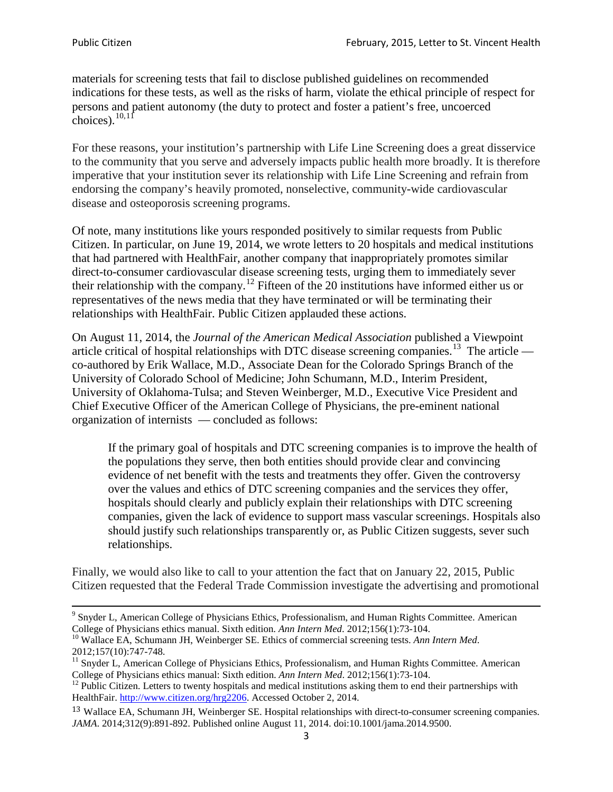materials for screening tests that fail to disclose published guidelines on recommended indications for these tests, as well as the risks of harm, violate the ethical principle of respect for persons and patient autonomy (the duty to protect and foster a patient's free, uncoerced choices). $\frac{10,11}{10,11}$  $\frac{10,11}{10,11}$  $\frac{10,11}{10,11}$  $\frac{10,11}{10,11}$ 

For these reasons, your institution's partnership with Life Line Screening does a great disservice to the community that you serve and adversely impacts public health more broadly. It is therefore imperative that your institution sever its relationship with Life Line Screening and refrain from endorsing the company's heavily promoted, nonselective, community**-**wide cardiovascular disease and osteoporosis screening programs.

Of note, many institutions like yours responded positively to similar requests from Public Citizen. In particular, on June 19, 2014, we wrote letters to 20 hospitals and medical institutions that had partnered with HealthFair, another company that inappropriately promotes similar direct-to-consumer cardiovascular disease screening tests, urging them to immediately sever their relationship with the company. [12](#page-2-2) Fifteen of the 20 institutions have informed either us or representatives of the news media that they have terminated or will be terminating their relationships with HealthFair. Public Citizen applauded these actions.

On August 11, 2014, the *Journal of the American Medical Association* published a Viewpoint article critical of hospital relationships with DTC disease screening companies.<sup>13</sup> The article co-authored by Erik Wallace, M.D., Associate Dean for the Colorado Springs Branch of the University of Colorado School of Medicine; John Schumann, M.D., Interim President, University of Oklahoma-Tulsa; and Steven Weinberger, M.D., Executive Vice President and Chief Executive Officer of the American College of Physicians, the pre**-**eminent national organization of internists — concluded as follows:

If the primary goal of hospitals and DTC screening companies is to improve the health of the populations they serve, then both entities should provide clear and convincing evidence of net benefit with the tests and treatments they offer. Given the controversy over the values and ethics of DTC screening companies and the services they offer, hospitals should clearly and publicly explain their relationships with DTC screening companies, given the lack of evidence to support mass vascular screenings. Hospitals also should justify such relationships transparently or, as Public Citizen suggests, sever such relationships.

Finally, we would also like to call to your attention the fact that on January 22, 2015, Public Citizen requested that the Federal Trade Commission investigate the advertising and promotional

<sup>&</sup>lt;sup>9</sup> Snyder L, American College of Physicians Ethics, Professionalism, and Human Rights Committee. American College of Physicians ethics manual. Sixth edition. Ann Intern Med. 2012;156(1):73-104.

<span id="page-2-0"></span><sup>&</sup>lt;sup>10</sup> Wallace EA, Schumann JH, Weinberger SE. Ethics of commercial screening tests. *Ann Intern Med*. 2012;157(10):747-748.

<span id="page-2-1"></span> $11$  Snyder L, American College of Physicians Ethics, Professionalism, and Human Rights Committee. American College of Physicians ethics manual: Sixth edition. *Ann Intern Med*. 2012;156(1):73-104.<br><sup>12</sup> Public Citizen. Letters to twenty hospitals and medical institutions asking them to end their partnerships with

<span id="page-2-2"></span>HealthFair. [http://www.citizen.org/hrg2206.](http://www.citizen.org/hrg2206) Accessed October 2, 2014.

<span id="page-2-3"></span><sup>13</sup> Wallace EA, Schumann JH, Weinberger SE. Hospital relationships with direct-to-consumer screening companies. *JAMA*. 2014;312(9):891-892. Published online August 11, 2014. doi:10.1001/jama.2014.9500.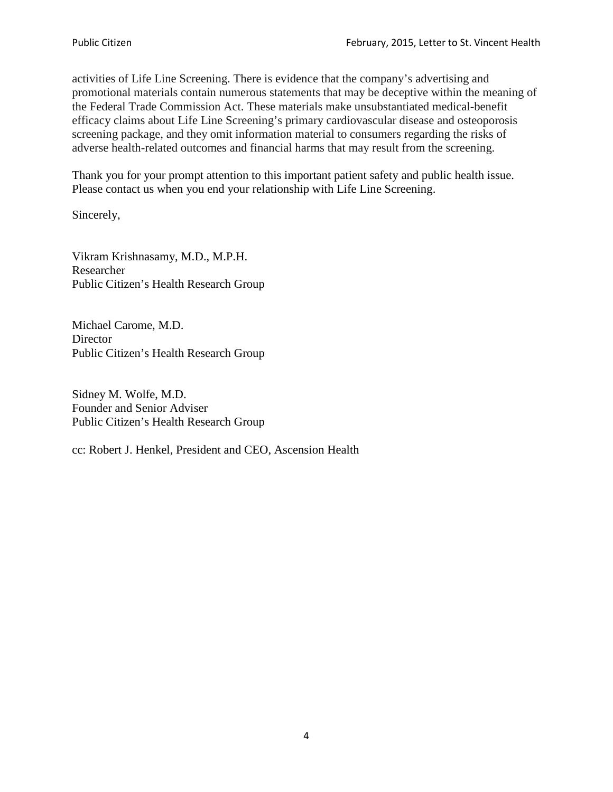activities of Life Line Screening. There is evidence that the company's advertising and promotional materials contain numerous statements that may be deceptive within the meaning of the Federal Trade Commission Act. These materials make unsubstantiated medical-benefit efficacy claims about Life Line Screening's primary cardiovascular disease and osteoporosis screening package, and they omit information material to consumers regarding the risks of adverse health-related outcomes and financial harms that may result from the screening.

Thank you for your prompt attention to this important patient safety and public health issue. Please contact us when you end your relationship with Life Line Screening.

Sincerely,

Vikram Krishnasamy, M.D., M.P.H. Researcher Public Citizen's Health Research Group

Michael Carome, M.D. **Director** Public Citizen's Health Research Group

Sidney M. Wolfe, M.D. Founder and Senior Adviser Public Citizen's Health Research Group

cc: Robert J. Henkel, President and CEO, Ascension Health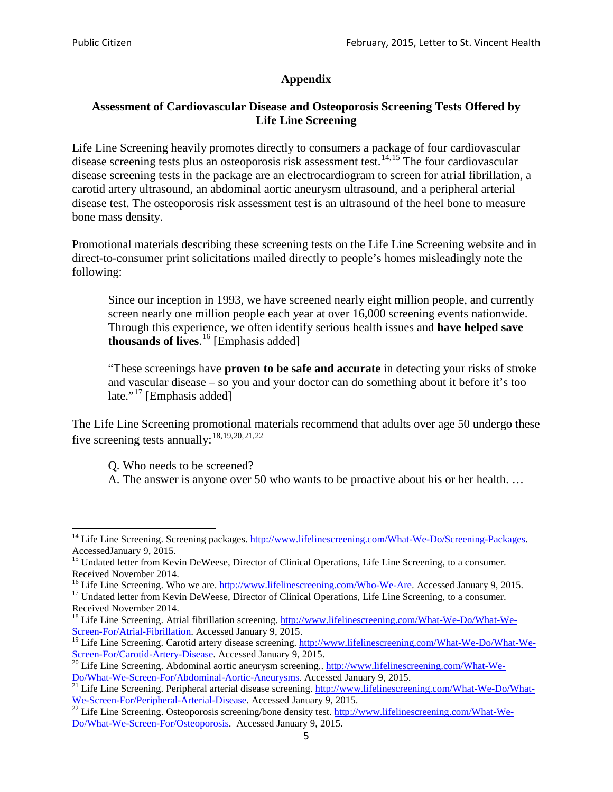## **Appendix**

## **Assessment of Cardiovascular Disease and Osteoporosis Screening Tests Offered by Life Line Screening**

Life Line Screening heavily promotes directly to consumers a package of four cardiovascular disease screening tests plus an osteoporosis risk assessment test.<sup>[14](#page-4-0),[15](#page-4-1)</sup> The four cardiovascular disease screening tests in the package are an electrocardiogram to screen for atrial fibrillation, a carotid artery ultrasound, an abdominal aortic aneurysm ultrasound, and a peripheral arterial disease test. The osteoporosis risk assessment test is an ultrasound of the heel bone to measure bone mass density.

Promotional materials describing these screening tests on the Life Line Screening website and in direct-to-consumer print solicitations mailed directly to people's homes misleadingly note the following:

Since our inception in 1993, we have screened nearly eight million people, and currently screen nearly one million people each year at over 16,000 screening events nationwide. Through this experience, we often identify serious health issues and **have helped save thousands of lives**. [16](#page-4-2) [Emphasis added]

"These screenings have **proven to be safe and accurate** in detecting your risks of stroke and vascular disease – so you and your doctor can do something about it before it's too late."<sup>[17](#page-4-3)</sup> [Emphasis added]

The Life Line Screening promotional materials recommend that adults over age 50 undergo these five screening tests annually:<sup>[18](#page-4-4),[19,](#page-4-5)[20,](#page-4-6)[21](#page-4-7),[22](#page-4-8)</sup>

Q. Who needs to be screened?

A. The answer is anyone over 50 who wants to be proactive about his or her health. …

<span id="page-4-0"></span><sup>&</sup>lt;sup>14</sup> Life Line Screening. Screening packages. [http://www.lifelinescreening.com/What-We-Do/Screening-Packages.](http://www.lifelinescreening.com/What-We-Do/Screening-Packages) AccessedJanuary 9, 2015.

<span id="page-4-1"></span><sup>&</sup>lt;sup>15</sup> Undated letter from Kevin DeWeese, Director of Clinical Operations, Life Line Screening, to a consumer.

Received November 2014.<br><sup>16</sup> Life Line Screening. Who we are. http://www.lifelinescreening.com/Who-We-Are. Accessed January 9, 2015.

<span id="page-4-3"></span><span id="page-4-2"></span><sup>&</sup>lt;sup>17</sup> Undated letter from Kevin DeWeese, Director of Clinical Operations, Life Line Screening, to a consumer. Received November 2014.

<span id="page-4-4"></span><sup>&</sup>lt;sup>18</sup> Life Line Screening. Atrial fibrillation screening. [http://www.lifelinescreening.com/What-We-Do/What-We-](http://www.lifelinescreening.com/What-We-Do/What-We-Screen-For/Atrial-Fibrillation)[Screen-For/Atrial-Fibrillation.](http://www.lifelinescreening.com/What-We-Do/What-We-Screen-For/Atrial-Fibrillation) Accessed January 9, 2015.

<sup>&</sup>lt;sup>19</sup> Life Line Screening. Carotid artery disease screening. [http://www.lifelinescreening.com/What-We-Do/What-We-](http://www.lifelinescreening.com/What-We-Do/What-We-Screen-For/Carotid-Artery-Disease)

<span id="page-4-6"></span><span id="page-4-5"></span>[Screen-For/Carotid-Artery-Disease.](http://www.lifelinescreening.com/What-We-Do/What-We-Screen-For/Carotid-Artery-Disease) Accessed January 9, 2015.<br><sup>20</sup> Life Line Screening. Abdominal aortic aneurysm screening.. http://www.lifelinescreening.com/What-We-Do/What-We-Do/What-We-Screen-For/Abdominal-Aortic-Aneury

<span id="page-4-7"></span><sup>&</sup>lt;sup>21</sup> Life Line Screening. Peripheral arterial disease screening. [http://www.lifelinescreening.com/What-We-Do/What-](http://www.lifelinescreening.com/What-We-Do/What-We-Screen-For/Peripheral-Arterial-Disease)

<span id="page-4-8"></span>[We-Screen-For/Peripheral-Arterial-Disease.](http://www.lifelinescreening.com/What-We-Do/What-We-Screen-For/Peripheral-Arterial-Disease) Accessed January 9, 2015.<br><sup>22</sup> Life Line Screening. Osteoporosis screening/bone density test. [http://www.lifelinescreening.com/What-We-](http://www.lifelinescreening.com/What-We-Do/What-We-Screen-For/Osteoporosis)[Do/What-We-Screen-For/Osteoporosis.](http://www.lifelinescreening.com/What-We-Do/What-We-Screen-For/Osteoporosis) Accessed January 9, 2015.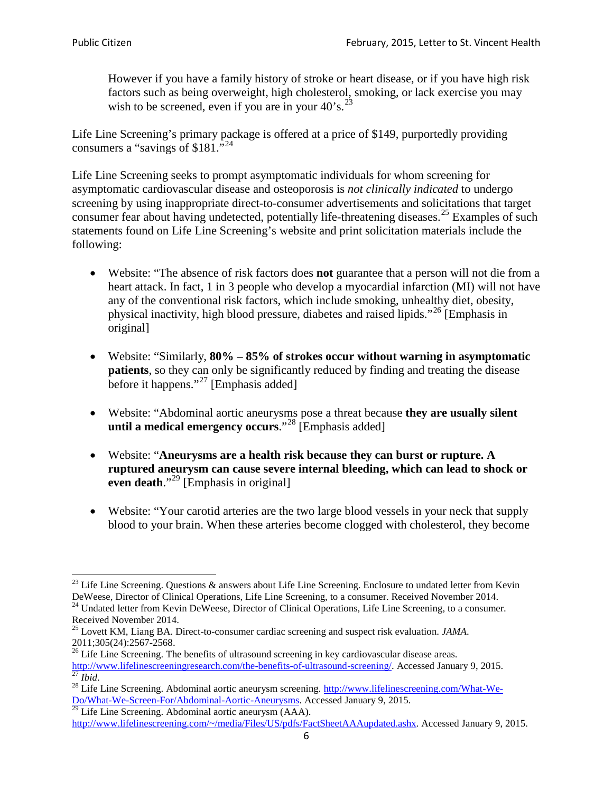However if you have a family history of stroke or heart disease, or if you have high risk factors such as being overweight, high cholesterol, smoking, or lack exercise you may wish to be screened, even if you are in your  $40^{\circ}$ s.<sup>[23](#page-5-0)</sup>

Life Line Screening's primary package is offered at a price of \$149, purportedly providing consumers a "savings of \$181."<sup>[24](#page-5-1)</sup>

Life Line Screening seeks to prompt asymptomatic individuals for whom screening for asymptomatic cardiovascular disease and osteoporosis is *not clinically indicated* to undergo screening by using inappropriate direct-to-consumer advertisements and solicitations that target consumer fear about having undetected, potentially life-threatening diseases.<sup>[25](#page-5-2)</sup> Examples of such statements found on Life Line Screening's website and print solicitation materials include the following:

- Website: "The absence of risk factors does **not** guarantee that a person will not die from a heart attack. In fact, 1 in 3 people who develop a myocardial infarction (MI) will not have any of the conventional risk factors, which include smoking, unhealthy diet, obesity, physical inactivity, high blood pressure, diabetes and raised lipids."[26](#page-5-3) [Emphasis in original]
- Website: "Similarly, **80% – 85% of strokes occur without warning in asymptomatic patients**, so they can only be significantly reduced by finding and treating the disease before it happens."<sup>[27](#page-5-4)</sup> [Emphasis added]
- Website: "Abdominal aortic aneurysms pose a threat because **they are usually silent until a medical emergency occurs**."[28](#page-5-5) [Emphasis added]
- Website: "**Aneurysms are a health risk because they can burst or rupture. A ruptured aneurysm can cause severe internal bleeding, which can lead to shock or even death.**"<sup>[29](#page-5-6)</sup> [Emphasis in original]
- Website: "Your carotid arteries are the two large blood vessels in your neck that supply blood to your brain. When these arteries become clogged with cholesterol, they become

<span id="page-5-0"></span><sup>&</sup>lt;sup>23</sup> Life Line Screening. Questions  $\&$  answers about Life Line Screening. Enclosure to undated letter from Kevin DeWeese, Director of Clinical Operations, Life Line Screening, to a consumer. Received November 2014.

<span id="page-5-1"></span><sup>&</sup>lt;sup>24</sup> Undated letter from Kevin DeWeese, Director of Clinical Operations, Life Line Screening, to a consumer. Received November 2014.

<span id="page-5-2"></span><sup>25</sup> Lovett KM, Liang BA. Direct-to-consumer cardiac screening and suspect risk evaluation. *JAMA*.  $2011;305(24):2567-2568$ .<br><sup>26</sup> Life Line Screening. The benefits of ultrasound screening in key cardiovascular disease areas.

<span id="page-5-3"></span>[http://www.lifelinescreeningresearch.com/the-benefits-of-ultrasound-screening/.](http://www.lifelinescreeningresearch.com/the-benefits-of-ultrasound-screening/) Accessed January 9, 2015.<br><sup>28</sup> Life Line Screening. Abdominal aortic aneurysm screening. http://www.lifelinescreening.com/What-We-<br><sup>28</sup> Life L

<span id="page-5-5"></span><span id="page-5-4"></span>[Do/What-We-Screen-For/Abdominal-Aortic-Aneurysms.](http://www.lifelinescreening.com/What-We-Do/What-We-Screen-For/Abdominal-Aortic-Aneurysms) Accessed January 9, 2015. <sup>29</sup> Life Line Screening. Abdominal aortic aneurysm (AAA).

<span id="page-5-6"></span>[http://www.lifelinescreening.com/~/media/Files/US/pdfs/FactSheetAAAupdated.ashx.](http://www.lifelinescreening.com/~/media/Files/US/pdfs/FactSheetAAAupdated.ashx) Accessed January 9, 2015.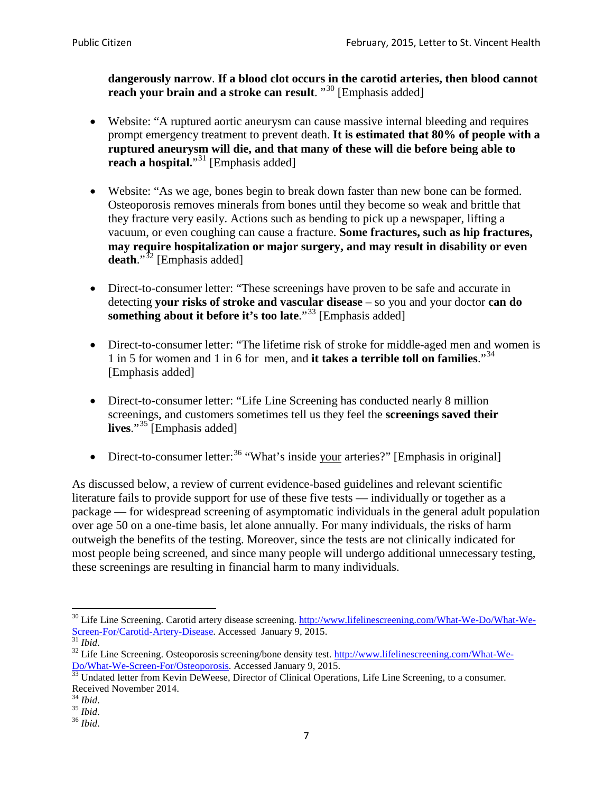**dangerously narrow**. **If a blood clot occurs in the carotid arteries, then blood cannot reach your brain and a stroke can result**. "<sup>[30](#page-6-0)</sup> [Emphasis added]

- Website: "A ruptured aortic aneurysm can cause massive internal bleeding and requires prompt emergency treatment to prevent death. **It is estimated that 80% of people with a ruptured aneurysm will die, and that many of these will die before being able to reach a hospital.**"<sup>[31](#page-6-1)</sup> [Emphasis added]
- Website: "As we age, bones begin to break down faster than new bone can be formed. Osteoporosis removes minerals from bones until they become so weak and brittle that they fracture very easily. Actions such as bending to pick up a newspaper, lifting a vacuum, or even coughing can cause a fracture. **Some fractures, such as hip fractures, may require hospitalization or major surgery, and may result in disability or even**  death."<sup>[32](#page-6-2)</sup> [Emphasis added]
- Direct-to-consumer letter: "These screenings have proven to be safe and accurate in detecting **your risks of stroke and vascular disease** – so you and your doctor **can do something about it before it's too late**."<sup>[33](#page-6-3)</sup> [Emphasis added]
- Direct-to-consumer letter: "The lifetime risk of stroke for middle-aged men and women is 1 in 5 for women and 1 in 6 for men, and **it takes a terrible toll on families**."[34](#page-6-4) [Emphasis added]
- Direct-to-consumer letter: "Life Line Screening has conducted nearly 8 million screenings, and customers sometimes tell us they feel the **screenings saved their lives**."[35](#page-6-5) [Emphasis added]
- Direct-to-consumer letter:  $36$  "What's inside your arteries?" [Emphasis in original]

As discussed below, a review of current evidence-based guidelines and relevant scientific literature fails to provide support for use of these five tests — individually or together as a package — for widespread screening of asymptomatic individuals in the general adult population over age 50 on a one-time basis, let alone annually. For many individuals, the risks of harm outweigh the benefits of the testing. Moreover, since the tests are not clinically indicated for most people being screened, and since many people will undergo additional unnecessary testing, these screenings are resulting in financial harm to many individuals.

<span id="page-6-0"></span><sup>&</sup>lt;sup>30</sup> Life Line Screening. Carotid artery disease screening. [http://www.lifelinescreening.com/What-We-Do/What-We-](http://www.lifelinescreening.com/What-We-Do/What-We-Screen-For/Carotid-Artery-Disease)[Screen-For/Carotid-Artery-Disease.](http://www.lifelinescreening.com/What-We-Do/What-We-Screen-For/Carotid-Artery-Disease) Accessed January 9, 2015.<br><sup>31</sup> *Ibid.* 32 Life Line Screening. Osteoporosis screening/bone density test. [http://www.lifelinescreening.com/What-We-](http://www.lifelinescreening.com/What-We-Do/What-We-Screen-For/Osteoporosis)

<span id="page-6-2"></span><span id="page-6-1"></span>[Do/What-We-Screen-For/Osteoporosis.](http://www.lifelinescreening.com/What-We-Do/What-We-Screen-For/Osteoporosis) Accessed January 9, 2015. <sup>33</sup> Undated letter from Kevin DeWeese, Director of Clinical Operations, Life Line Screening, to a consumer.

<span id="page-6-3"></span>Received November 2014.<br><sup>34</sup> Ibid.

<span id="page-6-4"></span>

<span id="page-6-5"></span><sup>34</sup> *Ibid*. 35 *Ibid*. 36 *Ibid*.

<span id="page-6-6"></span>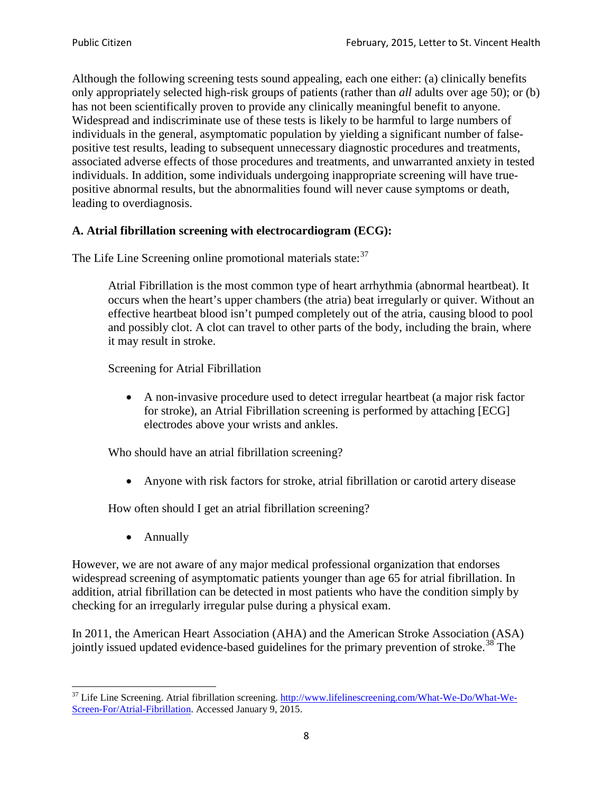Although the following screening tests sound appealing, each one either: (a) clinically benefits only appropriately selected high-risk groups of patients (rather than *all* adults over age 50); or (b) has not been scientifically proven to provide any clinically meaningful benefit to anyone. Widespread and indiscriminate use of these tests is likely to be harmful to large numbers of individuals in the general, asymptomatic population by yielding a significant number of falsepositive test results, leading to subsequent unnecessary diagnostic procedures and treatments, associated adverse effects of those procedures and treatments, and unwarranted anxiety in tested individuals. In addition, some individuals undergoing inappropriate screening will have truepositive abnormal results, but the abnormalities found will never cause symptoms or death, leading to overdiagnosis.

## **A. Atrial fibrillation screening with electrocardiogram (ECG):**

The Life Line Screening online promotional materials state:<sup>[37](#page-7-0)</sup>

Atrial Fibrillation is the most common type of heart arrhythmia (abnormal heartbeat). It occurs when the heart's upper chambers (the atria) beat irregularly or quiver. Without an effective heartbeat blood isn't pumped completely out of the atria, causing blood to pool and possibly clot. A clot can travel to other parts of the body, including the brain, where it may result in stroke.

Screening for Atrial Fibrillation

• A non-invasive procedure used to detect irregular heartbeat (a major risk factor for stroke), an Atrial Fibrillation screening is performed by attaching [ECG] electrodes above your wrists and ankles.

Who should have an atrial fibrillation screening?

• Anyone with risk factors for stroke, atrial fibrillation or carotid artery disease

How often should I get an atrial fibrillation screening?

• Annually

<span id="page-7-1"></span>However, we are not aware of any major medical professional organization that endorses widespread screening of asymptomatic patients younger than age 65 for atrial fibrillation. In addition, atrial fibrillation can be detected in most patients who have the condition simply by checking for an irregularly irregular pulse during a physical exam.

In 2011, the American Heart Association (AHA) and the American Stroke Association (ASA) jointly issued updated evidence-based guidelines for the primary prevention of stroke.<sup>[38](#page-7-1)</sup> The

<span id="page-7-0"></span><sup>&</sup>lt;sup>37</sup> Life Line Screening. Atrial fibrillation screening. [http://www.lifelinescreening.com/What-We-Do/What-We-](http://www.lifelinescreening.com/What-We-Do/What-We-Screen-For/Atrial-Fibrillation)[Screen-For/Atrial-Fibrillation.](http://www.lifelinescreening.com/What-We-Do/What-We-Screen-For/Atrial-Fibrillation) Accessed January 9, 2015.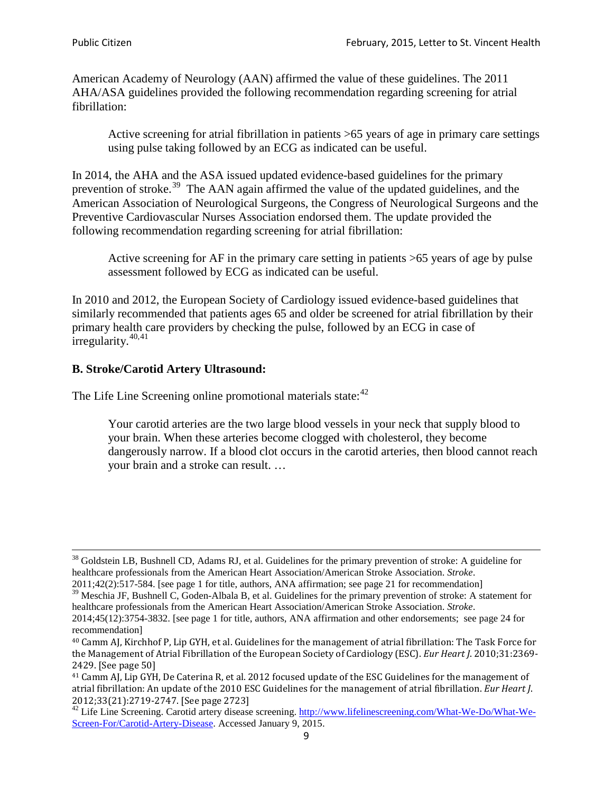American Academy of Neurology (AAN) affirmed the value of these guidelines. The 2011 AHA/ASA guidelines provided the following recommendation regarding screening for atrial fibrillation:

Active screening for atrial fibrillation in patients >65 years of age in primary care settings using pulse taking followed by an ECG as indicated can be useful.

In 2014, the AHA and the ASA issued updated evidence-based guidelines for the primary prevention of stroke.<sup>[39](#page-8-0)</sup> The AAN again affirmed the value of the updated guidelines, and the American Association of Neurological Surgeons, the Congress of Neurological Surgeons and the Preventive Cardiovascular Nurses Association endorsed them. The update provided the following recommendation regarding screening for atrial fibrillation:

Active screening for AF in the primary care setting in patients >65 years of age by pulse assessment followed by ECG as indicated can be useful.

In 2010 and 2012, the European Society of Cardiology issued evidence-based guidelines that similarly recommended that patients ages 65 and older be screened for atrial fibrillation by their primary health care providers by checking the pulse, followed by an ECG in case of irregularity. $40,41$  $40,41$ 

# **B. Stroke/Carotid Artery Ultrasound:**

The Life Line Screening online promotional materials state:<sup>[42](#page-8-3)</sup>

Your carotid arteries are the two large blood vessels in your neck that supply blood to your brain. When these arteries become clogged with cholesterol, they become dangerously narrow. If a blood clot occurs in the carotid arteries, then blood cannot reach your brain and a stroke can result. …

<sup>&</sup>lt;sup>38</sup> Goldstein LB, Bushnell CD, Adams RJ, et al. Guidelines for the primary prevention of stroke: A guideline for healthcare professionals from the American Heart Association/American Stroke Association. *Stroke*.

<sup>2011;42(2):517-584.</sup> [see page 1 for title, authors, ANA affirmation; see page 21 for recommendation]

<span id="page-8-0"></span> $\frac{2011,42(2)(317,601)}{39}$  Meschia JF, Bushnell C, Goden-Albala B, et al. Guidelines for the primary prevention of stroke: A statement for healthcare professionals from the American Heart Association/American Stroke Association. *Stroke*.

<sup>2014;45(12):3754-3832.</sup> [see page 1 for title, authors, ANA affirmation and other endorsements; see page 24 for recommendation]

<span id="page-8-1"></span><sup>40</sup> Camm AJ, Kirchhof P, Lip GYH, et al. Guidelines for the management of atrial fibrillation: The Task Force for the Management of Atrial Fibrillation of the European Society of Cardiology (ESC). *Eur Heart J*. 2010;31:2369- 2429. [See page 50]

<span id="page-8-2"></span><sup>41</sup> Camm AJ, Lip GYH, De Caterina R, et al. 2012 focused update of the ESC Guidelines for the management of atrial fibrillation: An update of the 2010 ESC Guidelines for the management of atrial fibrillation. *Eur Heart J*.

<span id="page-8-3"></span><sup>2012;33(21):2719-2747. [</sup>See page 2723]<br><sup>42</sup> Life Line Screening. Carotid artery disease screening. [http://www.lifelinescreening.com/What-We-Do/What-We-](http://www.lifelinescreening.com/What-We-Do/What-We-Screen-For/Carotid-Artery-Disease)[Screen-For/Carotid-Artery-Disease.](http://www.lifelinescreening.com/What-We-Do/What-We-Screen-For/Carotid-Artery-Disease) Accessed January 9, 2015.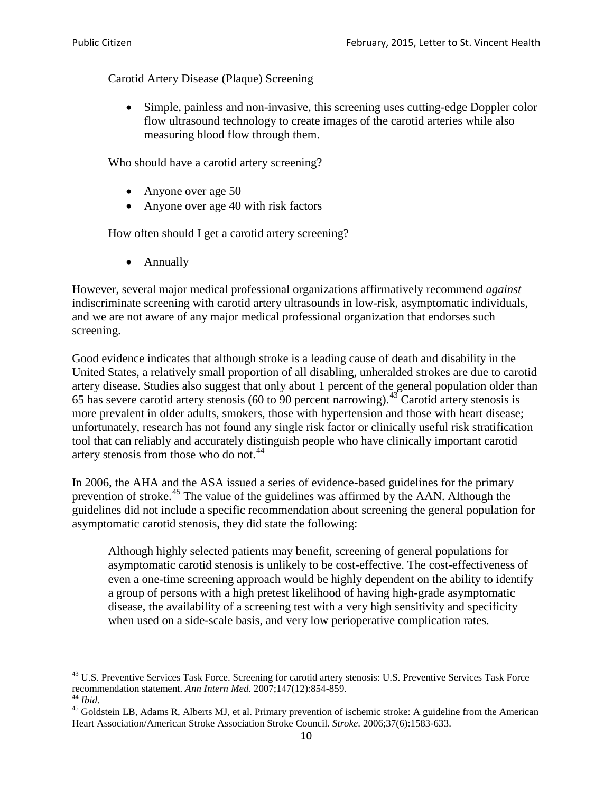Carotid Artery Disease (Plaque) Screening

• Simple, painless and non-invasive, this screening uses cutting-edge Doppler color flow ultrasound technology to create images of the carotid arteries while also measuring blood flow through them.

Who should have a carotid artery screening?

- Anyone over age 50
- Anyone over age 40 with risk factors

How often should I get a carotid artery screening?

• Annually

However, several major medical professional organizations affirmatively recommend *against* indiscriminate screening with carotid artery ultrasounds in low-risk, asymptomatic individuals, and we are not aware of any major medical professional organization that endorses such screening.

Good evidence indicates that although stroke is a leading cause of death and disability in the United States, a relatively small proportion of all disabling, unheralded strokes are due to carotid artery disease. Studies also suggest that only about 1 percent of the general population older than 65 has severe carotid artery stenosis (60 to 90 percent narrowing).<sup>[43](#page-9-0)</sup> Carotid artery stenosis is more prevalent in older adults, smokers, those with hypertension and those with heart disease; unfortunately, research has not found any single risk factor or clinically useful risk stratification tool that can reliably and accurately distinguish people who have clinically important carotid artery stenosis from those who do not.<sup>[44](#page-9-1)</sup>

In 2006, the AHA and the ASA issued a series of evidence-based guidelines for the primary prevention of stroke.[45](#page-9-2) The value of the guidelines was affirmed by the AAN. Although the guidelines did not include a specific recommendation about screening the general population for asymptomatic carotid stenosis, they did state the following:

Although highly selected patients may benefit, screening of general populations for asymptomatic carotid stenosis is unlikely to be cost-effective. The cost-effectiveness of even a one-time screening approach would be highly dependent on the ability to identify a group of persons with a high pretest likelihood of having high-grade asymptomatic disease, the availability of a screening test with a very high sensitivity and specificity when used on a side-scale basis, and very low perioperative complication rates.

<span id="page-9-0"></span> $^{43}$  U.S. Preventive Services Task Force. Screening for carotid artery stenosis: U.S. Preventive Services Task Force recommendation statement. Ann Intern Med. 2007;147(12):854-859.

<span id="page-9-2"></span><span id="page-9-1"></span><sup>&</sup>lt;sup>44</sup> *Ibid*. <sup>45</sup> Goldstein LB, Adams R, Alberts MJ, et al. Primary prevention of ischemic stroke: A guideline from the American <sup>45</sup> Goldstein LB, Adams R, Alberts MJ, et al. Primary prevention of ischemic stroke: A guide Heart Association/American Stroke Association Stroke Council. *Stroke*. 2006;37(6):1583-633.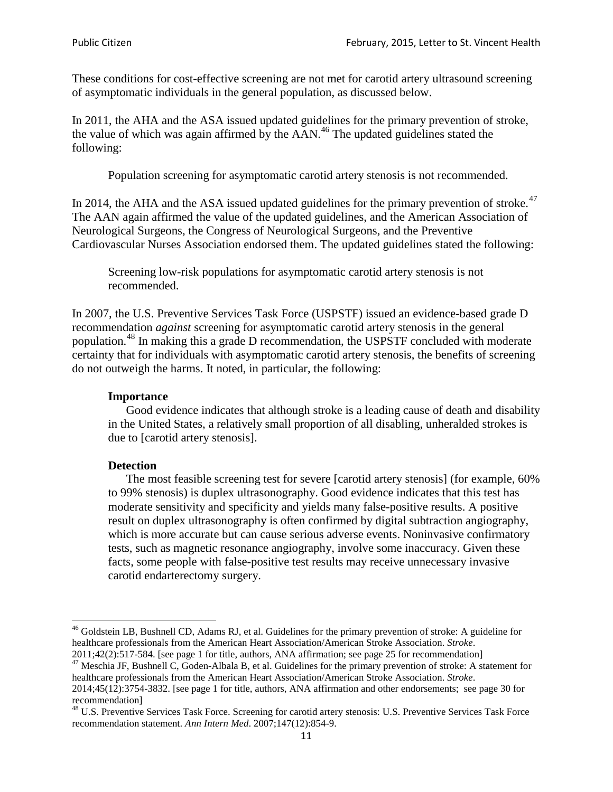These conditions for cost-effective screening are not met for carotid artery ultrasound screening of asymptomatic individuals in the general population, as discussed below.

In 2011, the AHA and the ASA issued updated guidelines for the primary prevention of stroke, the value of which was again affirmed by the  $AAN<sup>46</sup>$  $AAN<sup>46</sup>$  $AAN<sup>46</sup>$ . The updated guidelines stated the following:

Population screening for asymptomatic carotid artery stenosis is not recommended.

In 2014, the AHA and the ASA issued updated guidelines for the primary prevention of stroke.<sup>47</sup> The AAN again affirmed the value of the updated guidelines, and the American Association of Neurological Surgeons, the Congress of Neurological Surgeons, and the Preventive Cardiovascular Nurses Association endorsed them. The updated guidelines stated the following:

Screening low-risk populations for asymptomatic carotid artery stenosis is not recommended.

In 2007, the U.S. Preventive Services Task Force (USPSTF) issued an evidence-based grade D recommendation *against* screening for asymptomatic carotid artery stenosis in the general population.[48](#page-10-2) In making this a grade D recommendation, the USPSTF concluded with moderate certainty that for individuals with asymptomatic carotid artery stenosis, the benefits of screening do not outweigh the harms. It noted, in particular, the following:

#### **Importance**

Good evidence indicates that although stroke is a leading cause of death and disability in the United States, a relatively small proportion of all disabling, unheralded strokes is due to [carotid artery stenosis].

#### **Detection**

The most feasible screening test for severe [carotid artery stenosis] (for example, 60% to 99% stenosis) is duplex ultrasonography. Good evidence indicates that this test has moderate sensitivity and specificity and yields many false-positive results. A positive result on duplex ultrasonography is often confirmed by digital subtraction angiography, which is more accurate but can cause serious adverse events. Noninvasive confirmatory tests, such as magnetic resonance angiography, involve some inaccuracy. Given these facts, some people with false-positive test results may receive unnecessary invasive carotid endarterectomy surgery.

<span id="page-10-0"></span><sup>&</sup>lt;sup>46</sup> Goldstein LB, Bushnell CD, Adams RJ, et al. Guidelines for the primary prevention of stroke: A guideline for healthcare professionals from the American Heart Association/American Stroke Association. *Stroke*.<br>2011;42(2):517-584. [see page 1 for title, authors, ANA affirmation; see page 25 for recommendation]

<span id="page-10-1"></span><sup>&</sup>lt;sup>47</sup> Meschia JF, Bushnell C, Goden-Albala B, et al. Guidelines for the primary prevention of stroke: A statement for healthcare professionals from the American Heart Association/American Stroke Association. *Stroke*. 2014;45(12):3754-3832. [see page 1 for title, authors, ANA affirmation and other endorsements; see page 30 for

recommendation] <sup>48</sup> U.S. Preventive Services Task Force. Screening for carotid artery stenosis: U.S. Preventive Services Task Force

<span id="page-10-2"></span>recommendation statement. *Ann Intern Med*. 2007;147(12):854-9.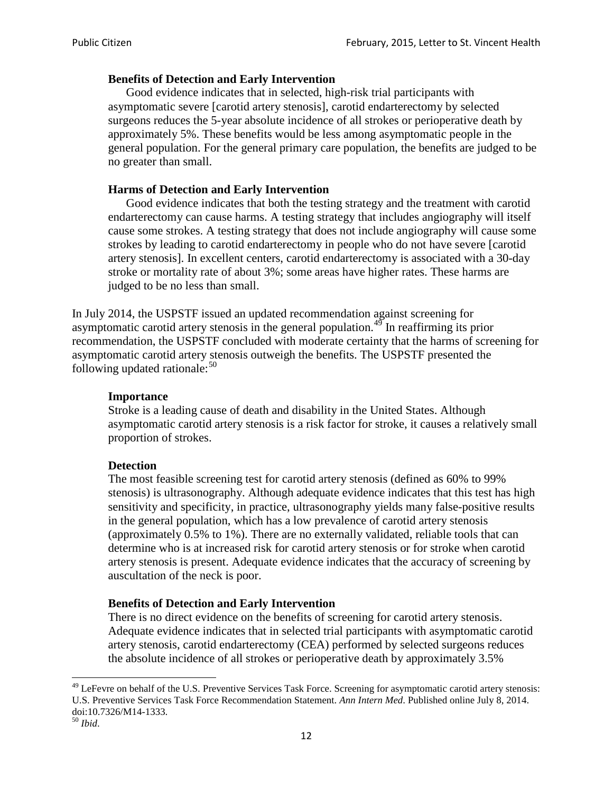#### **Benefits of Detection and Early Intervention**

Good evidence indicates that in selected, high-risk trial participants with asymptomatic severe [carotid artery stenosis], carotid endarterectomy by selected surgeons reduces the 5-year absolute incidence of all strokes or perioperative death by approximately 5%. These benefits would be less among asymptomatic people in the general population. For the general primary care population, the benefits are judged to be no greater than small.

### **Harms of Detection and Early Intervention**

Good evidence indicates that both the testing strategy and the treatment with carotid endarterectomy can cause harms. A testing strategy that includes angiography will itself cause some strokes. A testing strategy that does not include angiography will cause some strokes by leading to carotid endarterectomy in people who do not have severe [carotid artery stenosis]. In excellent centers, carotid endarterectomy is associated with a 30-day stroke or mortality rate of about 3%; some areas have higher rates. These harms are judged to be no less than small.

In July 2014, the USPSTF issued an updated recommendation against screening for asymptomatic carotid artery stenosis in the general population.<sup>[49](#page-11-0)</sup> In reaffirming its prior recommendation, the USPSTF concluded with moderate certainty that the harms of screening for asymptomatic carotid artery stenosis outweigh the benefits. The USPSTF presented the following updated rationale: $50$ 

#### **Importance**

Stroke is a leading cause of death and disability in the United States. Although asymptomatic carotid artery stenosis is a risk factor for stroke, it causes a relatively small proportion of strokes.

#### **Detection**

The most feasible screening test for carotid artery stenosis (defined as 60% to 99% stenosis) is ultrasonography. Although adequate evidence indicates that this test has high sensitivity and specificity, in practice, ultrasonography yields many false-positive results in the general population, which has a low prevalence of carotid artery stenosis (approximately 0.5% to 1%). There are no externally validated, reliable tools that can determine who is at increased risk for carotid artery stenosis or for stroke when carotid artery stenosis is present. Adequate evidence indicates that the accuracy of screening by auscultation of the neck is poor.

## **Benefits of Detection and Early Intervention**

There is no direct evidence on the benefits of screening for carotid artery stenosis. Adequate evidence indicates that in selected trial participants with asymptomatic carotid artery stenosis, carotid endarterectomy (CEA) performed by selected surgeons reduces the absolute incidence of all strokes or perioperative death by approximately 3.5%

<span id="page-11-0"></span><sup>&</sup>lt;sup>49</sup> LeFevre on behalf of the U.S. Preventive Services Task Force. Screening for asymptomatic carotid artery stenosis: U.S. Preventive Services Task Force Recommendation Statement. *Ann Intern Med*. Published online July 8, 2014. doi:10.7326/M14-1333. <sup>50</sup> *Ibid*.

<span id="page-11-1"></span>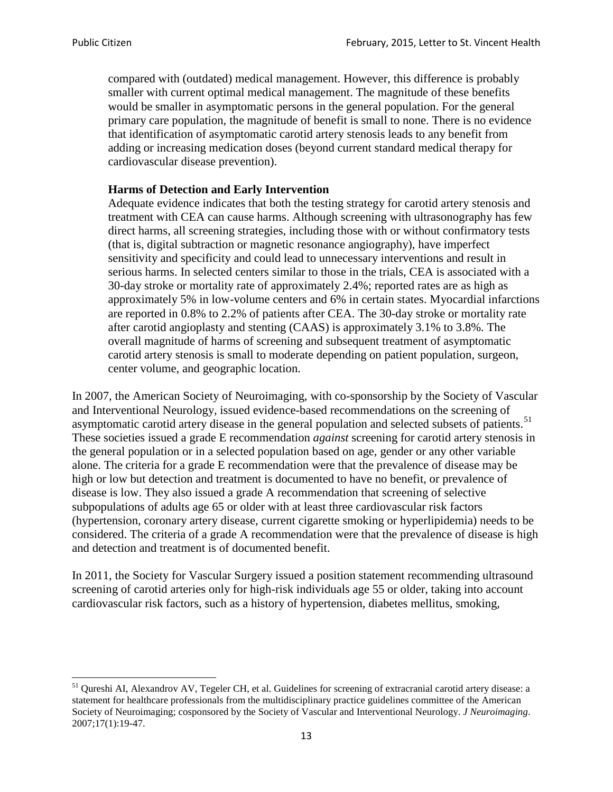compared with (outdated) medical management. However, this difference is probably smaller with current optimal medical management. The magnitude of these benefits would be smaller in asymptomatic persons in the general population. For the general primary care population, the magnitude of benefit is small to none. There is no evidence that identification of asymptomatic carotid artery stenosis leads to any benefit from adding or increasing medication doses (beyond current standard medical therapy for cardiovascular disease prevention).

#### **Harms of Detection and Early Intervention**

Adequate evidence indicates that both the testing strategy for carotid artery stenosis and treatment with CEA can cause harms. Although screening with ultrasonography has few direct harms, all screening strategies, including those with or without confirmatory tests (that is, digital subtraction or magnetic resonance angiography), have imperfect sensitivity and specificity and could lead to unnecessary interventions and result in serious harms. In selected centers similar to those in the trials, CEA is associated with a 30-day stroke or mortality rate of approximately 2.4%; reported rates are as high as approximately 5% in low-volume centers and 6% in certain states. Myocardial infarctions are reported in 0.8% to 2.2% of patients after CEA. The 30-day stroke or mortality rate after carotid angioplasty and stenting (CAAS) is approximately 3.1% to 3.8%. The overall magnitude of harms of screening and subsequent treatment of asymptomatic carotid artery stenosis is small to moderate depending on patient population, surgeon, center volume, and geographic location.

In 2007, the American Society of Neuroimaging, with co-sponsorship by the Society of Vascular and Interventional Neurology, issued evidence-based recommendations on the screening of asymptomatic carotid artery disease in the general population and selected subsets of patients.<sup>[51](#page-12-0)</sup> These societies issued a grade E recommendation *against* screening for carotid artery stenosis in the general population or in a selected population based on age, gender or any other variable alone. The criteria for a grade E recommendation were that the prevalence of disease may be high or low but detection and treatment is documented to have no benefit, or prevalence of disease is low. They also issued a grade A recommendation that screening of selective subpopulations of adults age 65 or older with at least three cardiovascular risk factors (hypertension, coronary artery disease, current cigarette smoking or hyperlipidemia) needs to be considered. The criteria of a grade A recommendation were that the prevalence of disease is high and detection and treatment is of documented benefit.

In 2011, the Society for Vascular Surgery issued a position statement recommending ultrasound screening of carotid arteries only for high-risk individuals age 55 or older, taking into account cardiovascular risk factors, such as a history of hypertension, diabetes mellitus, smoking,

<span id="page-12-0"></span><sup>&</sup>lt;sup>51</sup> Qureshi AI, Alexandrov AV, Tegeler CH, et al. Guidelines for screening of extracranial carotid artery disease: a statement for healthcare professionals from the multidisciplinary practice guidelines committee of the American Society of Neuroimaging; cosponsored by the Society of Vascular and Interventional Neurology. *J Neuroimaging*. 2007;17(1):19-47.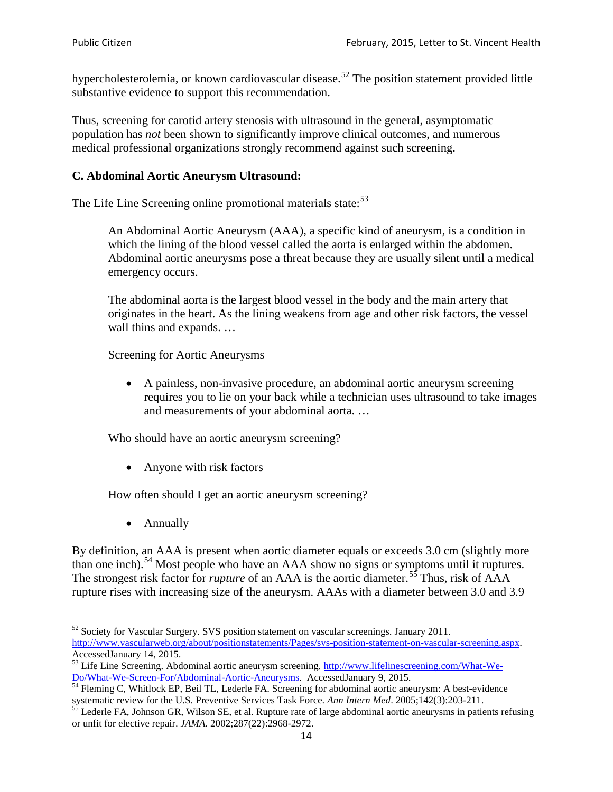hypercholesterolemia, or known cardiovascular disease.<sup>[52](#page-13-0)</sup> The position statement provided little substantive evidence to support this recommendation.

Thus, screening for carotid artery stenosis with ultrasound in the general, asymptomatic population has *not* been shown to significantly improve clinical outcomes, and numerous medical professional organizations strongly recommend against such screening.

#### **C. Abdominal Aortic Aneurysm Ultrasound:**

The Life Line Screening online promotional materials state:<sup>[53](#page-13-1)</sup>

An Abdominal Aortic Aneurysm (AAA), a specific kind of aneurysm, is a condition in which the lining of the blood vessel called the aorta is enlarged within the abdomen. Abdominal aortic aneurysms pose a threat because they are usually silent until a medical emergency occurs.

The abdominal aorta is the largest blood vessel in the body and the main artery that originates in the heart. As the lining weakens from age and other risk factors, the vessel wall thins and expands. …

Screening for Aortic Aneurysms

• A painless, non-invasive procedure, an abdominal aortic aneurysm screening requires you to lie on your back while a technician uses ultrasound to take images and measurements of your abdominal aorta. …

Who should have an aortic aneurysm screening?

• Anyone with risk factors

How often should I get an aortic aneurysm screening?

• Annually

By definition, an AAA is present when aortic diameter equals or exceeds 3.0 cm (slightly more than one inch).<sup>[54](#page-13-2)</sup> Most people who have an AAA show no signs or symptoms until it ruptures. The strongest risk factor for *rupture* of an AAA is the aortic diameter.<sup>[55](#page-13-3)</sup> Thus, risk of AAA rupture rises with increasing size of the aneurysm. AAAs with a diameter between 3.0 and 3.9

<span id="page-13-0"></span> $52$  Society for Vascular Surgery. SVS position statement on vascular screenings. January 2011. http://www.vascularweb.org/about/positionstatements/Pages/svs-position-statement-on-vascular-screening.aspx.<br>Accessed January 14, 2015.

<span id="page-13-1"></span>Accessed January 14, 2015.<br>
Sa Life Line Screening. Abdominal aortic aneurysm screening. http://www.lifelinescreening.com/What-We-<br>
Do/What-We-Screen-For/Abdominal-Aortic-Aneurysms. Accessed January 9, 2015.

<span id="page-13-2"></span> $\frac{1}{54}$  Fleming C, Whitlock EP, Beil TL, Lederle FA. Screening for abdominal aortic aneurysm: A best-evidence systematic review for the U.S. Preventive Services Task Force. *Ann Intern Med.* 2005;142(3):203-211.<br><sup>55</sup> Lederle FA, Johnson GR, Wilson SE, et al. Rupture rate of large abdominal aortic aneurysms in patients refusing

<span id="page-13-3"></span>or unfit for elective repair. *JAMA*. 2002;287(22):2968-2972.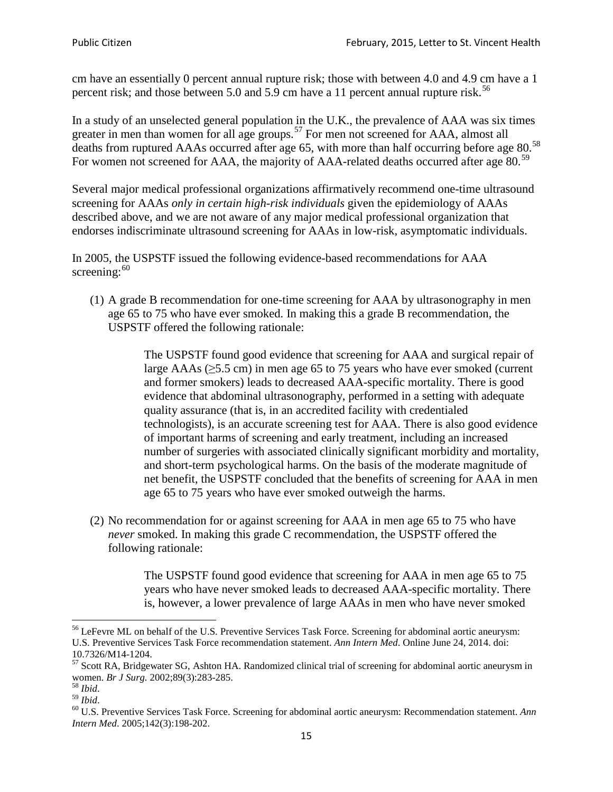cm have an essentially 0 percent annual rupture risk; those with between 4.0 and 4.9 cm have a 1 percent risk; and those between 5.0 and 5.9 cm have a 11 percent annual rupture risk.<sup>[56](#page-14-0)</sup>

In a study of an unselected general population in the U.K., the prevalence of AAA was six times greater in men than women for all age groups.<sup>[57](#page-14-1)</sup> For men not screened for  $AAA$ , almost all deaths from ruptured AAAs occurred after age 65, with more than half occurring before age 80.<sup>[58](#page-14-2)</sup> For women not screened for AAA, the majority of AAA-related deaths occurred after age 80.<sup>[59](#page-14-3)</sup>

Several major medical professional organizations affirmatively recommend one-time ultrasound screening for AAAs *only in certain high-risk individuals* given the epidemiology of AAAs described above, and we are not aware of any major medical professional organization that endorses indiscriminate ultrasound screening for AAAs in low-risk, asymptomatic individuals.

In 2005, the USPSTF issued the following evidence-based recommendations for AAA screening: $60$ 

(1) A grade B recommendation for one-time screening for AAA by ultrasonography in men age 65 to 75 who have ever smoked. In making this a grade [B recommendation,](http://www.uspreventiveservicestaskforce.org/uspstf/gradespre.htm#brec) the USPSTF offered the following rationale:

> The USPSTF found good evidence that screening for AAA and surgical repair of large AAAs ( $\geq$ 5.5 cm) in men age 65 to 75 years who have ever smoked (current and former smokers) leads to decreased AAA-specific mortality. There is good evidence that abdominal ultrasonography, performed in a setting with adequate quality assurance (that is, in an accredited facility with credentialed technologists), is an accurate screening test for AAA. There is also good evidence of important harms of screening and early treatment, including an increased number of surgeries with associated clinically significant morbidity and mortality, and short-term psychological harms. On the basis of the moderate magnitude of net benefit, the USPSTF concluded that the benefits of screening for AAA in men age 65 to 75 years who have ever smoked outweigh the harms.

(2) No recommendation for or against screening for AAA in men age 65 to 75 who have *never* smoked. In making this grade C recommendation, the USPSTF offered the following rationale:

> The USPSTF found good evidence that screening for AAA in men age 65 to 75 years who have never smoked leads to decreased AAA-specific mortality. There is, however, a lower prevalence of large AAAs in men who have never smoked

<span id="page-14-0"></span><sup>&</sup>lt;sup>56</sup> LeFevre ML on behalf of the U.S. Preventive Services Task Force. Screening for abdominal aortic aneurysm: U.S. Preventive Services Task Force recommendation statement. *Ann Intern Med*. Online June 24, 2014. doi:

<span id="page-14-1"></span><sup>10.7326/</sup>M14-1204.<br> $57$  Scott RA, Bridgewater SG, Ashton HA. Randomized clinical trial of screening for abdominal aortic aneurysm in women. *Br J Surg.* 2002;89(3):283-285.

<span id="page-14-4"></span><span id="page-14-3"></span>

<span id="page-14-2"></span><sup>&</sup>lt;sup>58</sup> *Ibid.*<br><sup>59</sup> *Ibid.* 2002;<br><sup>60</sup> U.S. Preventive Services Task Force. Screening for abdominal aortic aneurysm: Recommendation statement. *Ann Intern Med*. 2005;142(3):198-202.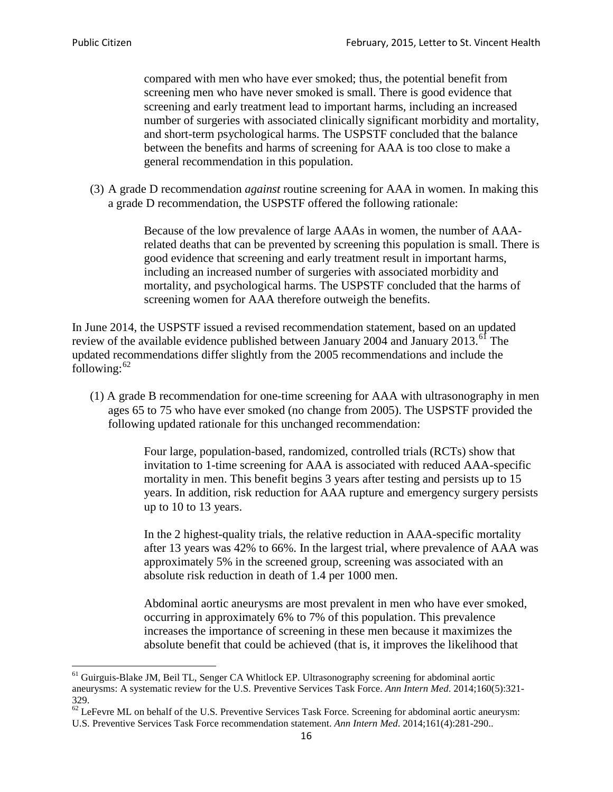compared with men who have ever smoked; thus, the potential benefit from screening men who have never smoked is small. There is good evidence that screening and early treatment lead to important harms, including an increased number of surgeries with associated clinically significant morbidity and mortality, and short-term psychological harms. The USPSTF concluded that the balance between the benefits and harms of screening for AAA is too close to make a general recommendation in this population.

(3) A grade D recommendation *against* routine screening for AAA in women. In making this a grade D recommendation, the USPSTF offered the following rationale:

> Because of the low prevalence of large AAAs in women, the number of AAArelated deaths that can be prevented by screening this population is small. There is good evidence that screening and early treatment result in important harms, including an increased number of surgeries with associated morbidity and mortality, and psychological harms. The USPSTF concluded that the harms of screening women for AAA therefore outweigh the benefits.

In June 2014, the USPSTF issued a revised recommendation statement, based on an updated review of the available evidence published between January 2004 and January 2013.<sup>[61](#page-15-0)</sup> The updated recommendations differ slightly from the 2005 recommendations and include the following: $62$ 

(1) A grade B recommendation for one-time screening for AAA with ultrasonography in men ages 65 to 75 who have ever smoked (no change from 2005). The USPSTF provided the following updated rationale for this unchanged recommendation:

> Four large, population-based, randomized, controlled trials (RCTs) show that invitation to 1-time screening for AAA is associated with reduced AAA-specific mortality in men. This benefit begins 3 years after testing and persists up to 15 years. In addition, risk reduction for AAA rupture and emergency surgery persists up to 10 to 13 years.

> In the 2 highest-quality trials, the relative reduction in AAA-specific mortality after 13 years was 42% to 66%. In the largest trial, where prevalence of AAA was approximately 5% in the screened group, screening was associated with an absolute risk reduction in death of 1.4 per 1000 men.

Abdominal aortic aneurysms are most prevalent in men who have ever smoked, occurring in approximately 6% to 7% of this population. This prevalence increases the importance of screening in these men because it maximizes the absolute benefit that could be achieved (that is, it improves the likelihood that

<span id="page-15-0"></span><sup>61</sup> Guirguis-Blake JM, Beil TL, Senger CA Whitlock EP. Ultrasonography screening for abdominal aortic aneurysms: A systematic review for the U.S. Preventive Services Task Force. *Ann Intern Med*. 2014;160(5):321- 329.

<span id="page-15-1"></span> $62$  LeFevre ML on behalf of the U.S. Preventive Services Task Force. Screening for abdominal aortic aneurysm: U.S. Preventive Services Task Force recommendation statement. *Ann Intern Med*. 2014;161(4):281-290..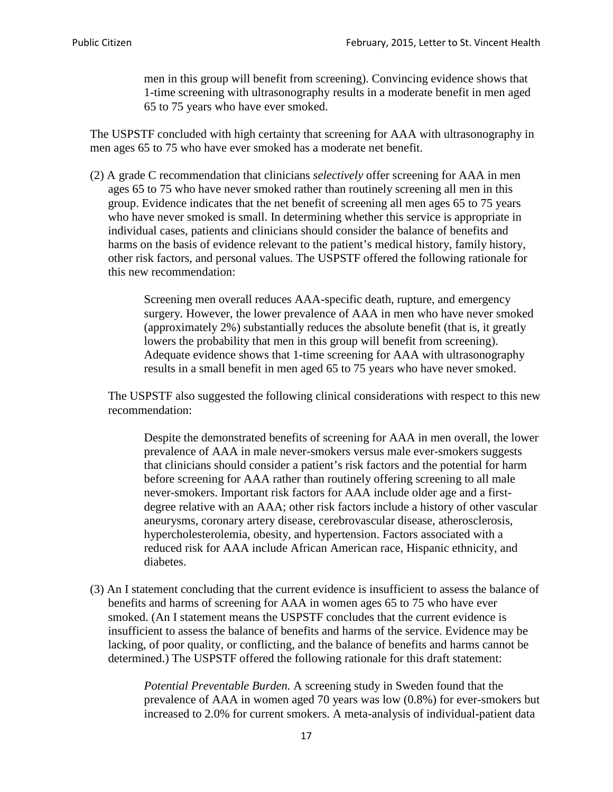men in this group will benefit from screening). Convincing evidence shows that 1-time screening with ultrasonography results in a moderate benefit in men aged 65 to 75 years who have ever smoked.

The USPSTF concluded with high certainty that screening for AAA with ultrasonography in men ages 65 to 75 who have ever smoked has a moderate net benefit.

(2) A grade C recommendation that clinicians *selectively* offer screening for AAA in men ages 65 to 75 who have never smoked rather than routinely screening all men in this group. Evidence indicates that the net benefit of screening all men ages 65 to 75 years who have never smoked is small. In determining whether this service is appropriate in individual cases, patients and clinicians should consider the balance of benefits and harms on the basis of evidence relevant to the patient's medical history, family history, other risk factors, and personal values. The USPSTF offered the following rationale for this new recommendation:

> Screening men overall reduces AAA-specific death, rupture, and emergency surgery. However, the lower prevalence of AAA in men who have never smoked (approximately 2%) substantially reduces the absolute benefit (that is, it greatly lowers the probability that men in this group will benefit from screening). Adequate evidence shows that 1-time screening for AAA with ultrasonography results in a small benefit in men aged 65 to 75 years who have never smoked.

The USPSTF also suggested the following clinical considerations with respect to this new recommendation:

Despite the demonstrated benefits of screening for AAA in men overall, the lower prevalence of AAA in male never-smokers versus male ever-smokers suggests that clinicians should consider a patient's risk factors and the potential for harm before screening for AAA rather than routinely offering screening to all male never-smokers. Important risk factors for AAA include older age and a firstdegree relative with an AAA; other risk factors include a history of other vascular aneurysms, coronary artery disease, cerebrovascular disease, atherosclerosis, hypercholesterolemia, obesity, and hypertension. Factors associated with a reduced risk for AAA include African American race, Hispanic ethnicity, and diabetes.

(3) An I statement concluding that the current evidence is insufficient to assess the balance of benefits and harms of screening for AAA in women ages 65 to 75 who have ever smoked. (An I statement means the USPSTF concludes that the current evidence is insufficient to assess the balance of benefits and harms of the service. Evidence may be lacking, of poor quality, or conflicting, and the balance of benefits and harms cannot be determined.) The USPSTF offered the following rationale for this draft statement:

> *Potential Preventable Burden.* A screening study in Sweden found that the prevalence of AAA in women aged 70 years was low (0.8%) for ever-smokers but increased to 2.0% for current smokers. A meta-analysis of individual-patient data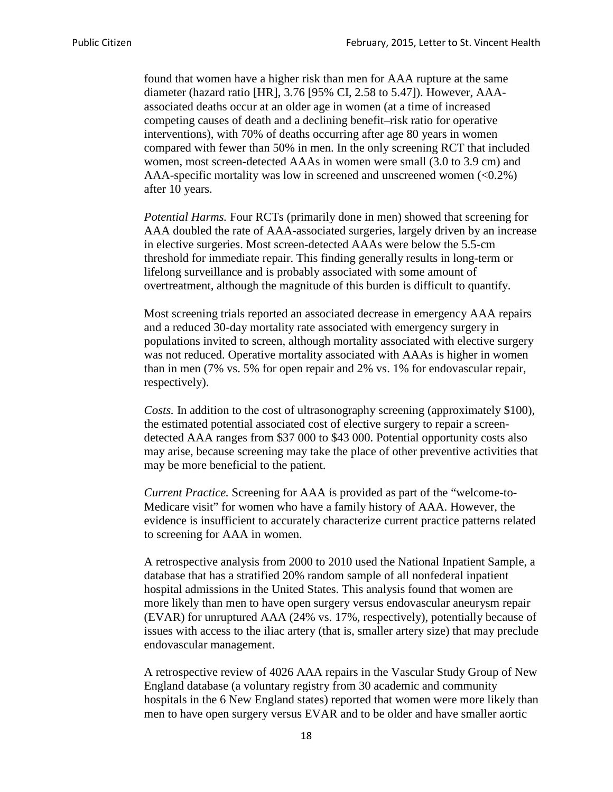found that women have a higher risk than men for AAA rupture at the same diameter (hazard ratio [HR], 3.76 [95% CI, 2.58 to 5.47]). However, AAAassociated deaths occur at an older age in women (at a time of increased competing causes of death and a declining benefit–risk ratio for operative interventions), with 70% of deaths occurring after age 80 years in women compared with fewer than 50% in men. In the only screening RCT that included women, most screen-detected AAAs in women were small (3.0 to 3.9 cm) and AAA-specific mortality was low in screened and unscreened women  $(<0.2\%)$ after 10 years.

*Potential Harms.* Four RCTs (primarily done in men) showed that screening for AAA doubled the rate of AAA-associated surgeries, largely driven by an increase in elective surgeries. Most screen-detected AAAs were below the 5.5-cm threshold for immediate repair. This finding generally results in long-term or lifelong surveillance and is probably associated with some amount of overtreatment, although the magnitude of this burden is difficult to quantify.

Most screening trials reported an associated decrease in emergency AAA repairs and a reduced 30-day mortality rate associated with emergency surgery in populations invited to screen, although mortality associated with elective surgery was not reduced. Operative mortality associated with AAAs is higher in women than in men (7% vs. 5% for open repair and 2% vs. 1% for endovascular repair, respectively).

*Costs.* In addition to the cost of ultrasonography screening (approximately \$100), the estimated potential associated cost of elective surgery to repair a screendetected AAA ranges from \$37 000 to \$43 000. Potential opportunity costs also may arise, because screening may take the place of other preventive activities that may be more beneficial to the patient.

*Current Practice.* Screening for AAA is provided as part of the "welcome-to-Medicare visit" for women who have a family history of AAA. However, the evidence is insufficient to accurately characterize current practice patterns related to screening for AAA in women.

A retrospective analysis from 2000 to 2010 used the National Inpatient Sample, a database that has a stratified 20% random sample of all nonfederal inpatient hospital admissions in the United States. This analysis found that women are more likely than men to have open surgery versus endovascular aneurysm repair (EVAR) for unruptured AAA (24% vs. 17%, respectively), potentially because of issues with access to the iliac artery (that is, smaller artery size) that may preclude endovascular management.

A retrospective review of 4026 AAA repairs in the Vascular Study Group of New England database (a voluntary registry from 30 academic and community hospitals in the 6 New England states) reported that women were more likely than men to have open surgery versus EVAR and to be older and have smaller aortic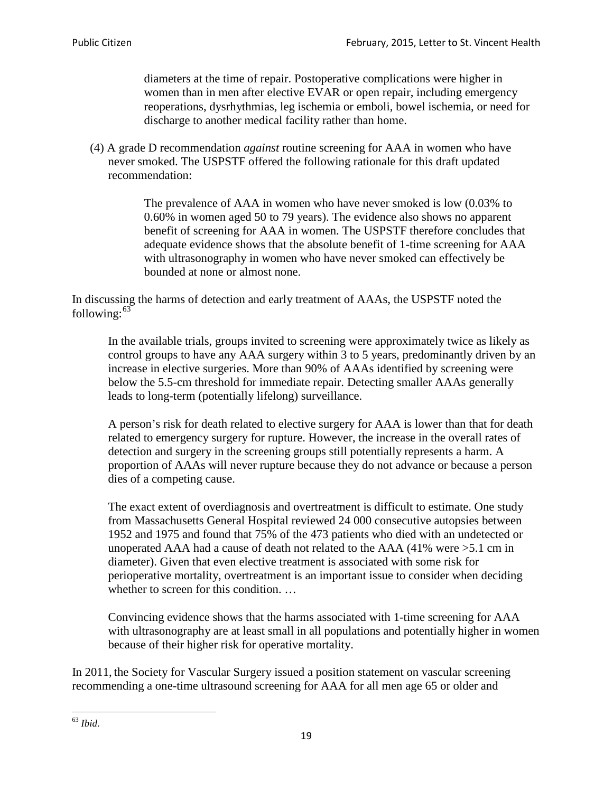diameters at the time of repair. Postoperative complications were higher in women than in men after elective EVAR or open repair, including emergency reoperations, dysrhythmias, leg ischemia or emboli, bowel ischemia, or need for discharge to another medical facility rather than home.

(4) A grade D recommendation *against* routine screening for AAA in women who have never smoked. The USPSTF offered the following rationale for this draft updated recommendation:

> The prevalence of AAA in women who have never smoked is low (0.03% to 0.60% in women aged 50 to 79 years). The evidence also shows no apparent benefit of screening for AAA in women. The USPSTF therefore concludes that adequate evidence shows that the absolute benefit of 1-time screening for AAA with ultrasonography in women who have never smoked can effectively be bounded at none or almost none.

In discussing the harms of detection and early treatment of AAAs, the USPSTF noted the following: $63$ 

In the available trials, groups invited to screening were approximately twice as likely as control groups to have any AAA surgery within 3 to 5 years, predominantly driven by an increase in elective surgeries. More than 90% of AAAs identified by screening were below the 5.5-cm threshold for immediate repair. Detecting smaller AAAs generally leads to long-term (potentially lifelong) surveillance.

A person's risk for death related to elective surgery for AAA is lower than that for death related to emergency surgery for rupture. However, the increase in the overall rates of detection and surgery in the screening groups still potentially represents a harm. A proportion of AAAs will never rupture because they do not advance or because a person dies of a competing cause.

The exact extent of overdiagnosis and overtreatment is difficult to estimate. One study from Massachusetts General Hospital reviewed 24 000 consecutive autopsies between 1952 and 1975 and found that 75% of the 473 patients who died with an undetected or unoperated AAA had a cause of death not related to the AAA (41% were >5.1 cm in diameter). Given that even elective treatment is associated with some risk for perioperative mortality, overtreatment is an important issue to consider when deciding whether to screen for this condition....

Convincing evidence shows that the harms associated with 1-time screening for AAA with ultrasonography are at least small in all populations and potentially higher in women because of their higher risk for operative mortality.

In 2011, the Society for Vascular Surgery issued a position statement on vascular screening recommending a one-time ultrasound screening for AAA for all men age 65 or older and

<span id="page-18-0"></span><sup>63</sup> *Ibid*.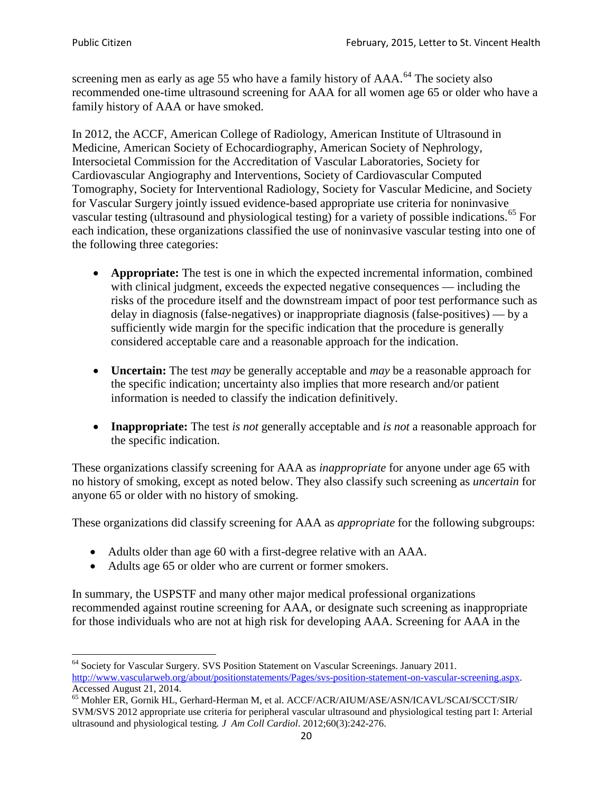screening men as early as age 55 who have a family history of AAA.<sup>[64](#page-19-0)</sup> The society also recommended one-time ultrasound screening for AAA for all women age 65 or older who have a family history of AAA or have smoked.

In 2012, the ACCF, American College of Radiology, American Institute of Ultrasound in Medicine, American Society of Echocardiography, American Society of Nephrology, Intersocietal Commission for the Accreditation of Vascular Laboratories, Society for Cardiovascular Angiography and Interventions, Society of Cardiovascular Computed Tomography, Society for Interventional Radiology, Society for Vascular Medicine, and Society for Vascular Surgery jointly issued evidence-based appropriate use criteria for noninvasive vascular testing (ultrasound and physiological testing) for a variety of possible indications.<sup>[65](#page-19-1)</sup> For each indication, these organizations classified the use of noninvasive vascular testing into one of the following three categories:

- **Appropriate:** The test is one in which the expected incremental information, combined with clinical judgment, exceeds the expected negative consequences — including the risks of the procedure itself and the downstream impact of poor test performance such as delay in diagnosis (false-negatives) or inappropriate diagnosis (false-positives) — by a sufficiently wide margin for the specific indication that the procedure is generally considered acceptable care and a reasonable approach for the indication.
- **Uncertain:** The test *may* be generally acceptable and *may* be a reasonable approach for the specific indication; uncertainty also implies that more research and/or patient information is needed to classify the indication definitively.
- **Inappropriate:** The test *is not* generally acceptable and *is not* a reasonable approach for the specific indication.

These organizations classify screening for AAA as *inappropriate* for anyone under age 65 with no history of smoking, except as noted below. They also classify such screening as *uncertain* for anyone 65 or older with no history of smoking.

These organizations did classify screening for AAA as *appropriate* for the following subgroups:

- Adults older than age 60 with a first-degree relative with an AAA.
- Adults age 65 or older who are current or former smokers.

In summary, the USPSTF and many other major medical professional organizations recommended against routine screening for AAA, or designate such screening as inappropriate for those individuals who are not at high risk for developing AAA. Screening for AAA in the

<span id="page-19-0"></span><sup>64</sup> Society for Vascular Surgery. SVS Position Statement on Vascular Screenings. January 2011. [http://www.vascularweb.org/about/positionstatements/Pages/svs-position-statement-on-vascular-screening.aspx.](http://www.vascularweb.org/about/positionstatements/Pages/svs-position-statement-on-vascular-screening.aspx) 

<span id="page-19-1"></span>Accessed August 21, 2014.<br><sup>65</sup> Mohler ER, Gornik HL, Gerhard-Herman M, et al. ACCF/ACR/AIUM/ASE/ASN/ICAVL/SCAI/SCCT/SIR/ SVM/SVS 2012 appropriate use criteria for peripheral vascular ultrasound and physiological testing part I: Arterial ultrasound and physiological testing*. J Am Coll Cardiol*. 2012;60(3):242-276.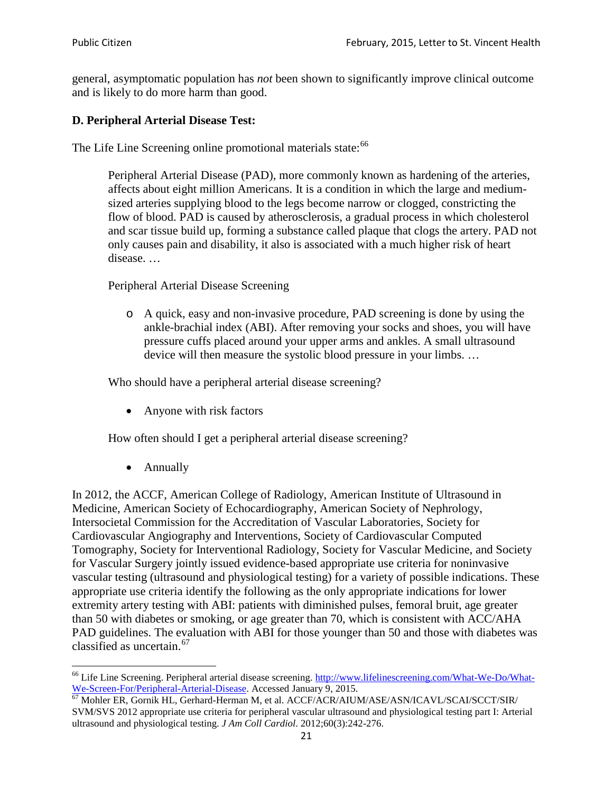general, asymptomatic population has *not* been shown to significantly improve clinical outcome and is likely to do more harm than good.

## **D. Peripheral Arterial Disease Test:**

The Life Line Screening online promotional materials state:<sup>[66](#page-20-0)</sup>

Peripheral Arterial Disease (PAD), more commonly known as hardening of the arteries, affects about eight million Americans. It is a condition in which the large and mediumsized arteries supplying blood to the legs become narrow or clogged, constricting the flow of blood. PAD is caused by atherosclerosis, a gradual process in which cholesterol and scar tissue build up, forming a substance called plaque that clogs the artery. PAD not only causes pain and disability, it also is associated with a much higher risk of heart disease. …

Peripheral Arterial Disease Screening

o A quick, easy and non-invasive procedure, PAD screening is done by using the ankle-brachial index (ABI). After removing your socks and shoes, you will have pressure cuffs placed around your upper arms and ankles. A small ultrasound device will then measure the systolic blood pressure in your limbs. …

Who should have a peripheral arterial disease screening?

• Anyone with risk factors

How often should I get a peripheral arterial disease screening?

• Annually

In 2012, the ACCF, American College of Radiology, American Institute of Ultrasound in Medicine, American Society of Echocardiography, American Society of Nephrology, Intersocietal Commission for the Accreditation of Vascular Laboratories, Society for Cardiovascular Angiography and Interventions, Society of Cardiovascular Computed Tomography, Society for Interventional Radiology, Society for Vascular Medicine, and Society for Vascular Surgery jointly issued evidence-based appropriate use criteria for noninvasive vascular testing (ultrasound and physiological testing) for a variety of possible indications. These appropriate use criteria identify the following as the only appropriate indications for lower extremity artery testing with ABI: patients with diminished pulses, femoral bruit, age greater than 50 with diabetes or smoking, or age greater than 70, which is consistent with ACC/AHA PAD guidelines. The evaluation with ABI for those younger than 50 and those with diabetes was classified as uncertain.<sup>[67](#page-20-1)</sup>

<span id="page-20-0"></span><sup>&</sup>lt;sup>66</sup> Life Line Screening. Peripheral arterial disease screening. [http://www.lifelinescreening.com/What-We-Do/What-](http://www.lifelinescreening.com/What-We-Do/What-We-Screen-For/Peripheral-Arterial-Disease)[We-Screen-For/Peripheral-Arterial-Disease.](http://www.lifelinescreening.com/What-We-Do/What-We-Screen-For/Peripheral-Arterial-Disease) Accessed January 9, 2015.<br><sup>67</sup> Mohler ER, Gornik HL, Gerhard-Herman M, et al. ACCF/ACR/AIUM/ASE/ASN/ICAVL/SCAI/SCCT/SIR/

<span id="page-20-1"></span>SVM/SVS 2012 appropriate use criteria for peripheral vascular ultrasound and physiological testing part I: Arterial ultrasound and physiological testing. *J Am Coll Cardiol*. 2012;60(3):242-276.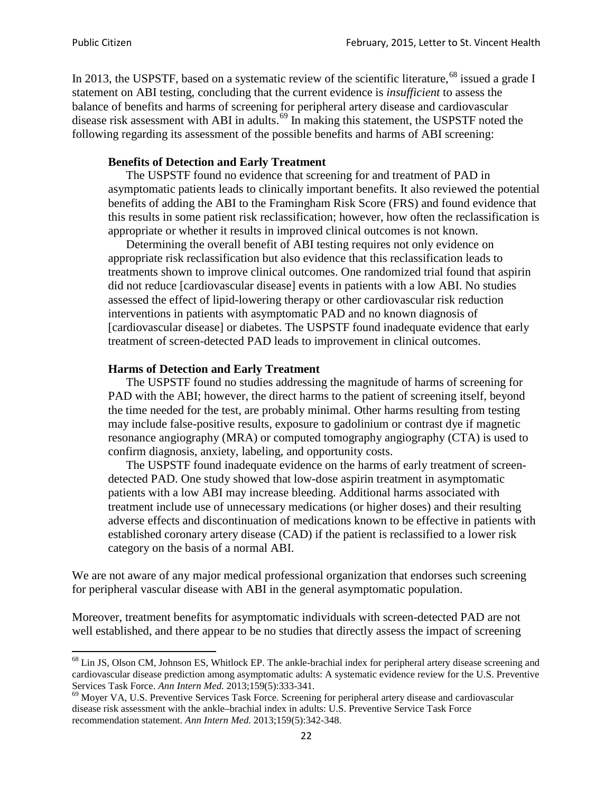In 2013, the USPSTF, based on a systematic review of the scientific literature,<sup>[68](#page-21-0)</sup> issued a grade I statement on ABI testing, concluding that the current evidence is *insufficient* to assess the balance of benefits and harms of screening for peripheral artery disease and cardiovascular disease risk assessment with ABI in adults.<sup>[69](#page-21-1)</sup> In making this statement, the USPSTF noted the following regarding its assessment of the possible benefits and harms of ABI screening:

#### **Benefits of Detection and Early Treatment**

The USPSTF found no evidence that screening for and treatment of PAD in asymptomatic patients leads to clinically important benefits. It also reviewed the potential benefits of adding the ABI to the Framingham Risk Score (FRS) and found evidence that this results in some patient risk reclassification; however, how often the reclassification is appropriate or whether it results in improved clinical outcomes is not known.

Determining the overall benefit of ABI testing requires not only evidence on appropriate risk reclassification but also evidence that this reclassification leads to treatments shown to improve clinical outcomes. One randomized trial found that aspirin did not reduce [cardiovascular disease] events in patients with a low ABI. No studies assessed the effect of lipid-lowering therapy or other cardiovascular risk reduction interventions in patients with asymptomatic PAD and no known diagnosis of [cardiovascular disease] or diabetes. The USPSTF found inadequate evidence that early treatment of screen-detected PAD leads to improvement in clinical outcomes.

#### **Harms of Detection and Early Treatment**

The USPSTF found no studies addressing the magnitude of harms of screening for PAD with the ABI; however, the direct harms to the patient of screening itself, beyond the time needed for the test, are probably minimal. Other harms resulting from testing may include false-positive results, exposure to gadolinium or contrast dye if magnetic resonance angiography (MRA) or computed tomography angiography (CTA) is used to confirm diagnosis, anxiety, labeling, and opportunity costs.

The USPSTF found inadequate evidence on the harms of early treatment of screendetected PAD. One study showed that low-dose aspirin treatment in asymptomatic patients with a low ABI may increase bleeding. Additional harms associated with treatment include use of unnecessary medications (or higher doses) and their resulting adverse effects and discontinuation of medications known to be effective in patients with established coronary artery disease (CAD) if the patient is reclassified to a lower risk category on the basis of a normal ABI.

We are not aware of any major medical professional organization that endorses such screening for peripheral vascular disease with ABI in the general asymptomatic population.

Moreover, treatment benefits for asymptomatic individuals with screen-detected PAD are not well established, and there appear to be no studies that directly assess the impact of screening

<span id="page-21-0"></span><sup>&</sup>lt;sup>68</sup> Lin JS, Olson CM, Johnson ES, Whitlock EP. The ankle-brachial index for peripheral artery disease screening and cardiovascular disease prediction among asymptomatic adults: A systematic evidence review for the U.S. Preventive Services Task Force. *Ann Intern Med.* 2013;159(5):333-341.<br><sup>69</sup> Moyer VA, U.S. Preventive Services Task Force. Screening for peripheral artery disease and cardiovascular

<span id="page-21-1"></span>disease risk assessment with the ankle–brachial index in adults: U.S. Preventive Service Task Force recommendation statement. *Ann Intern Med.* 2013;159(5):342-348.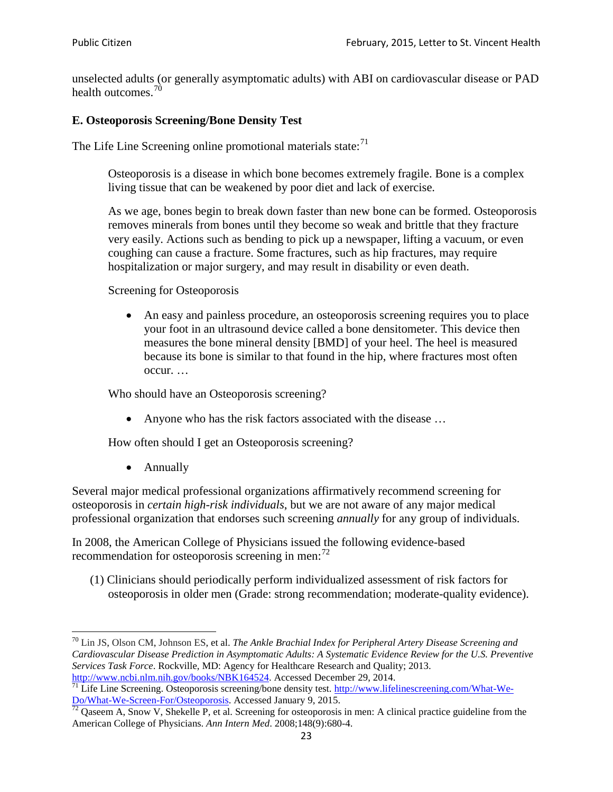unselected adults (or generally asymptomatic adults) with ABI on cardiovascular disease or PAD health outcomes.<sup>[70](#page-22-0)</sup>

#### **E. Osteoporosis Screening/Bone Density Test**

The Life Line Screening online promotional materials state: $71$ 

Osteoporosis is a disease in which bone becomes extremely fragile. Bone is a complex living tissue that can be weakened by poor diet and lack of exercise.

As we age, bones begin to break down faster than new bone can be formed. Osteoporosis removes minerals from bones until they become so weak and brittle that they fracture very easily. Actions such as bending to pick up a newspaper, lifting a vacuum, or even coughing can cause a fracture. Some fractures, such as hip fractures, may require hospitalization or major surgery, and may result in disability or even death.

Screening for Osteoporosis

• An easy and painless procedure, an osteoporosis screening requires you to place your foot in an ultrasound device called a bone densitometer. This device then measures the bone mineral density [BMD] of your heel. The heel is measured because its bone is similar to that found in the hip, where fractures most often occur. …

Who should have an Osteoporosis screening?

• Anyone who has the risk factors associated with the disease ...

How often should I get an Osteoporosis screening?

• Annually

Several major medical professional organizations affirmatively recommend screening for osteoporosis in *certain high-risk individuals*, but we are not aware of any major medical professional organization that endorses such screening *annually* for any group of individuals.

In 2008, the American College of Physicians issued the following evidence-based recommendation for osteoporosis screening in men: $^{72}$  $^{72}$  $^{72}$ 

(1) Clinicians should periodically perform individualized assessment of risk factors for osteoporosis in older men (Grade: strong recommendation; moderate-quality evidence).

<span id="page-22-0"></span><sup>70</sup> [Lin JS,](http://www.ncbi.nlm.nih.gov/pubmed?term=Lin%20JS%5BAuthor%5D&cauthor=true&cauthor_uid=24156115) [Olson CM,](http://www.ncbi.nlm.nih.gov/pubmed?term=Olson%20CM%5BAuthor%5D&cauthor=true&cauthor_uid=24156115) [Johnson ES,](http://www.ncbi.nlm.nih.gov/pubmed?term=Johnson%20ES%5BAuthor%5D&cauthor=true&cauthor_uid=24156115) et al. *The Ankle Brachial Index for Peripheral Artery Disease Screening and Cardiovascular Disease Prediction in Asymptomatic Adults: A Systematic Evidence Review for the U.S. Preventive Services Task Force*. Rockville, MD: Agency for Healthcare Research and Quality; 2013.<br>http://www.ncbi.nlm.nih.gov/books/NBK164524. Accessed December 29, 2014.

<span id="page-22-1"></span> $\frac{1}{71}$  Life Line Screening. Osteoporosis screening/bone density test. [http://www.lifelinescreening.com/What-We-](http://www.lifelinescreening.com/What-We-Do/What-We-Screen-For/Osteoporosis)[Do/What-We-Screen-For/Osteoporosis.](http://www.lifelinescreening.com/What-We-Do/What-We-Screen-For/Osteoporosis) Accessed January 9, 2015. <sup>72</sup> Qaseem A, Snow V, Shekelle P, et al. Screening for osteoporosis in men: A clinical practice guideline from the

<span id="page-22-2"></span>American College of Physicians. *Ann Intern Med*. 2008;148(9):680-4.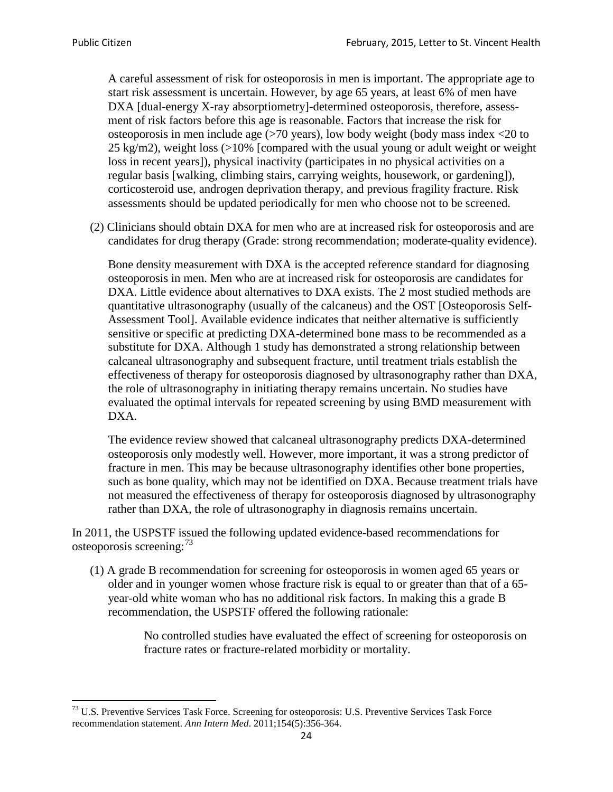A careful assessment of risk for osteoporosis in men is important. The appropriate age to start risk assessment is uncertain. However, by age 65 years, at least 6% of men have DXA [dual-energy X-ray absorptiometry]-determined osteoporosis, therefore, assessment of risk factors before this age is reasonable. Factors that increase the risk for osteoporosis in men include age (>70 years), low body weight (body mass index <20 to 25 kg/m2), weight loss (>10% [compared with the usual young or adult weight or weight loss in recent years]), physical inactivity (participates in no physical activities on a regular basis [walking, climbing stairs, carrying weights, housework, or gardening]), corticosteroid use, androgen deprivation therapy, and previous fragility fracture. Risk assessments should be updated periodically for men who choose not to be screened.

(2) Clinicians should obtain DXA for men who are at increased risk for osteoporosis and are candidates for drug therapy (Grade: strong recommendation; moderate-quality evidence).

Bone density measurement with DXA is the accepted reference standard for diagnosing osteoporosis in men. Men who are at increased risk for osteoporosis are candidates for DXA. Little evidence about alternatives to DXA exists. The 2 most studied methods are quantitative ultrasonography (usually of the calcaneus) and the OST [Osteoporosis Self-Assessment Tool]. Available evidence indicates that neither alternative is sufficiently sensitive or specific at predicting DXA-determined bone mass to be recommended as a substitute for DXA. Although 1 study has demonstrated a strong relationship between calcaneal ultrasonography and subsequent fracture, until treatment trials establish the effectiveness of therapy for osteoporosis diagnosed by ultrasonography rather than DXA, the role of ultrasonography in initiating therapy remains uncertain. No studies have evaluated the optimal intervals for repeated screening by using BMD measurement with DXA.

The evidence review showed that calcaneal ultrasonography predicts DXA-determined osteoporosis only modestly well. However, more important, it was a strong predictor of fracture in men. This may be because ultrasonography identifies other bone properties, such as bone quality, which may not be identified on DXA. Because treatment trials have not measured the effectiveness of therapy for osteoporosis diagnosed by ultrasonography rather than DXA, the role of ultrasonography in diagnosis remains uncertain.

In 2011, the USPSTF issued the following updated evidence-based recommendations for osteoporosis screening:<sup>[73](#page-23-0)</sup>

(1) A grade B recommendation for screening for osteoporosis in women aged 65 years or older and in younger women whose fracture risk is equal to or greater than that of a 65 year-old white woman who has no additional risk factors. In making this a grade B recommendation, the USPSTF offered the following rationale:

> No controlled studies have evaluated the effect of screening for osteoporosis on fracture rates or fracture-related morbidity or mortality.

<span id="page-23-0"></span><sup>&</sup>lt;sup>73</sup> U.S. Preventive Services Task Force. Screening for osteoporosis: U.S. Preventive Services Task Force recommendation statement. *Ann Intern Med*. 2011;154(5):356-364.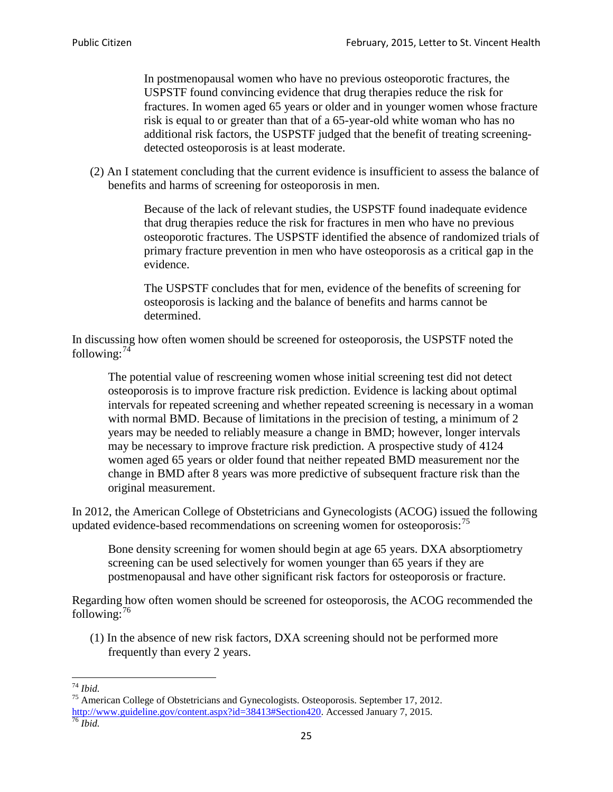In postmenopausal women who have no previous osteoporotic fractures, the USPSTF found convincing evidence that drug therapies reduce the risk for fractures. In women aged 65 years or older and in younger women whose fracture risk is equal to or greater than that of a 65-year-old white woman who has no additional risk factors, the USPSTF judged that the benefit of treating screeningdetected osteoporosis is at least moderate.

(2) An I statement concluding that the current evidence is insufficient to assess the balance of benefits and harms of screening for osteoporosis in men.

> Because of the lack of relevant studies, the USPSTF found inadequate evidence that drug therapies reduce the risk for fractures in men who have no previous osteoporotic fractures. The USPSTF identified the absence of randomized trials of primary fracture prevention in men who have osteoporosis as a critical gap in the evidence.

The USPSTF concludes that for men, evidence of the benefits of screening for osteoporosis is lacking and the balance of benefits and harms cannot be determined.

In discussing how often women should be screened for osteoporosis, the USPSTF noted the following: $74$ 

The potential value of rescreening women whose initial screening test did not detect osteoporosis is to improve fracture risk prediction. Evidence is lacking about optimal intervals for repeated screening and whether repeated screening is necessary in a woman with normal BMD. Because of limitations in the precision of testing, a minimum of 2 years may be needed to reliably measure a change in BMD; however, longer intervals may be necessary to improve fracture risk prediction. A prospective study of 4124 women aged 65 years or older found that neither repeated BMD measurement nor the change in BMD after 8 years was more predictive of subsequent fracture risk than the original measurement.

In 2012, the American College of Obstetricians and Gynecologists (ACOG) issued the following updated evidence-based recommendations on screening women for osteoporosis:<sup>[75](#page-24-1)</sup>

Bone density screening for women should begin at age 65 years. DXA absorptiometry screening can be used selectively for women younger than 65 years if they are postmenopausal and have other significant risk factors for osteoporosis or fracture.

Regarding how often women should be screened for osteoporosis, the ACOG recommended the following: $^{76}$  $^{76}$  $^{76}$ 

(1) In the absence of new risk factors, DXA screening should not be performed more frequently than every 2 years.

<span id="page-24-2"></span><span id="page-24-1"></span><span id="page-24-0"></span><sup>74</sup> *Ibid.* <sup>75</sup> American College of Obstetricians and Gynecologists. Osteoporosis. September 17, 2012. [http://www.guideline.gov/content.aspx?id=38413#Section420.](http://www.guideline.gov/content.aspx?id=38413#Section420) Accessed January 7, 2015.<br><sup>76</sup> *Ibid.*